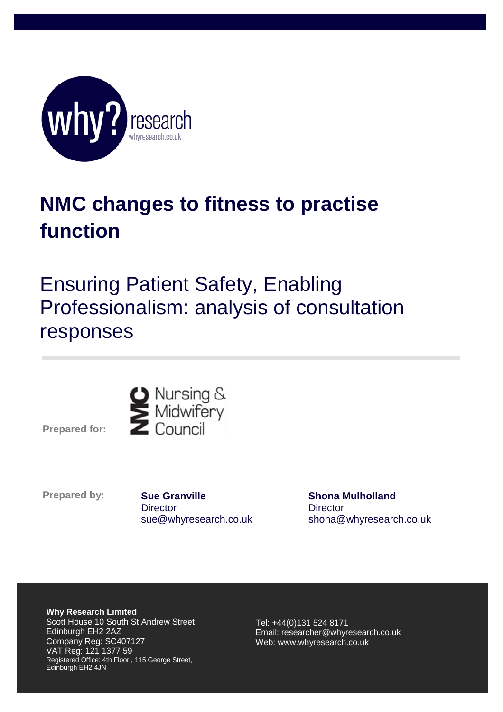

## **NMC changes to fitness to practise function**

## Ensuring Patient Safety, Enabling Professionalism: analysis of consultation responses



**P Prepared for:**

**Prepared by:** 

**Sue Granville Director** sue@whyresearch.co.uk

**Shona Mulholland Director** shona@whyresearch.co.uk

**Why Research Limited** Scott House 10 South St Andrew Street Edinburgh EH2 2AZ Company Reg: SC407127 VAT Reg: 121 1377 59 Registered Office: 4th Floor , 115 George Street, Edinburgh EH2 4JN

Tel: +44(0)131 524 8171 Email: researcher@whyresearch.co.uk Web: www.whyresearch.co.uk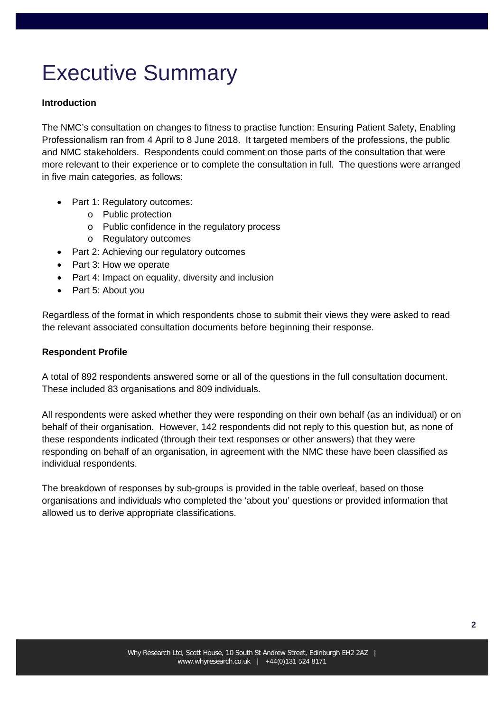# Executive Summary

### **Introduction**

The NMC's consultation on changes to fitness to practise function: Ensuring Patient Safety, Enabling Professionalism ran from 4 April to 8 June 2018. It targeted members of the professions, the public and NMC stakeholders. Respondents could comment on those parts of the consultation that were more relevant to their experience or to complete the consultation in full. The questions were arranged in five main categories, as follows:

- Part 1: Regulatory outcomes:
	- o Public protection
	- o Public confidence in the regulatory process
	- o Regulatory outcomes
- Part 2: Achieving our regulatory outcomes
- Part 3: How we operate
- Part 4: Impact on equality, diversity and inclusion
- Part 5: About you

Regardless of the format in which respondents chose to submit their views they were asked to read the relevant associated consultation documents before beginning their response.

### **Respondent Profile**

A total of 892 respondents answered some or all of the questions in the full consultation document. These included 83 organisations and 809 individuals.

All respondents were asked whether they were responding on their own behalf (as an individual) or on behalf of their organisation. However, 142 respondents did not reply to this question but, as none of these respondents indicated (through their text responses or other answers) that they were responding on behalf of an organisation, in agreement with the NMC these have been classified as individual respondents.

The breakdown of responses by sub-groups is provided in the table overleaf, based on those organisations and individuals who completed the 'about you' questions or provided information that allowed us to derive appropriate classifications.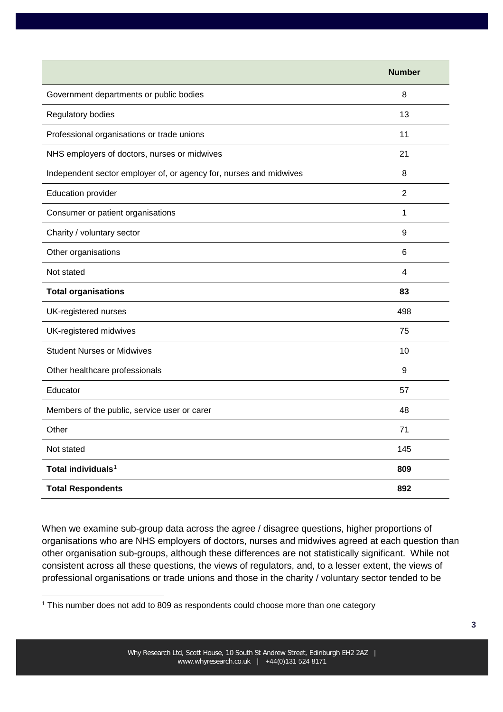|                                                                    | <b>Number</b>           |
|--------------------------------------------------------------------|-------------------------|
| Government departments or public bodies                            | 8                       |
| Regulatory bodies                                                  | 13                      |
| Professional organisations or trade unions                         | 11                      |
| NHS employers of doctors, nurses or midwives                       | 21                      |
| Independent sector employer of, or agency for, nurses and midwives | 8                       |
| <b>Education provider</b>                                          | $\overline{2}$          |
| Consumer or patient organisations                                  | 1                       |
| Charity / voluntary sector                                         | 9                       |
| Other organisations                                                | 6                       |
| Not stated                                                         | $\overline{\mathbf{4}}$ |
| <b>Total organisations</b>                                         | 83                      |
| UK-registered nurses                                               | 498                     |
| UK-registered midwives                                             | 75                      |
| <b>Student Nurses or Midwives</b>                                  | 10                      |
| Other healthcare professionals                                     | 9                       |
| Educator                                                           | 57                      |
| Members of the public, service user or carer                       | 48                      |
| Other                                                              | 71                      |
| Not stated                                                         | 145                     |
| Total individuals <sup>1</sup>                                     | 809                     |
| <b>Total Respondents</b>                                           | 892                     |

When we examine sub-group data across the agree / disagree questions, higher proportions of organisations who are NHS employers of doctors, nurses and midwives agreed at each question than other organisation sub-groups, although these differences are not statistically significant. While not consistent across all these questions, the views of regulators, and, to a lesser extent, the views of professional organisations or trade unions and those in the charity / voluntary sector tended to be

<span id="page-2-0"></span><sup>&</sup>lt;sup>1</sup> This number does not add to 809 as respondents could choose more than one category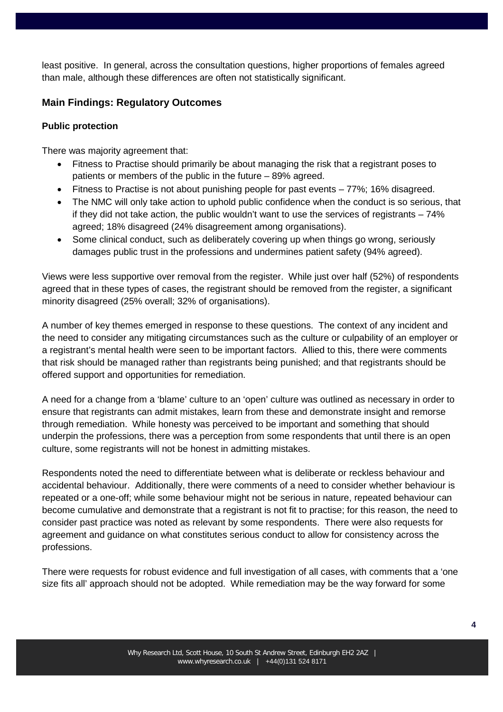least positive. In general, across the consultation questions, higher proportions of females agreed than male, although these differences are often not statistically significant.

## **Main Findings: Regulatory Outcomes**

### **Public protection**

There was majority agreement that:

- Fitness to Practise should primarily be about managing the risk that a registrant poses to patients or members of the public in the future – 89% agreed.
- Fitness to Practise is not about punishing people for past events 77%; 16% disagreed.
- The NMC will only take action to uphold public confidence when the conduct is so serious, that if they did not take action, the public wouldn't want to use the services of registrants  $-74\%$ agreed; 18% disagreed (24% disagreement among organisations).
- Some clinical conduct, such as deliberately covering up when things go wrong, seriously damages public trust in the professions and undermines patient safety (94% agreed).

Views were less supportive over removal from the register. While just over half (52%) of respondents agreed that in these types of cases, the registrant should be removed from the register, a significant minority disagreed (25% overall; 32% of organisations).

A number of key themes emerged in response to these questions. The context of any incident and the need to consider any mitigating circumstances such as the culture or culpability of an employer or a registrant's mental health were seen to be important factors. Allied to this, there were comments that risk should be managed rather than registrants being punished; and that registrants should be offered support and opportunities for remediation.

A need for a change from a 'blame' culture to an 'open' culture was outlined as necessary in order to ensure that registrants can admit mistakes, learn from these and demonstrate insight and remorse through remediation. While honesty was perceived to be important and something that should underpin the professions, there was a perception from some respondents that until there is an open culture, some registrants will not be honest in admitting mistakes.

Respondents noted the need to differentiate between what is deliberate or reckless behaviour and accidental behaviour. Additionally, there were comments of a need to consider whether behaviour is repeated or a one-off; while some behaviour might not be serious in nature, repeated behaviour can become cumulative and demonstrate that a registrant is not fit to practise; for this reason, the need to consider past practice was noted as relevant by some respondents. There were also requests for agreement and guidance on what constitutes serious conduct to allow for consistency across the professions.

There were requests for robust evidence and full investigation of all cases, with comments that a 'one size fits all' approach should not be adopted. While remediation may be the way forward for some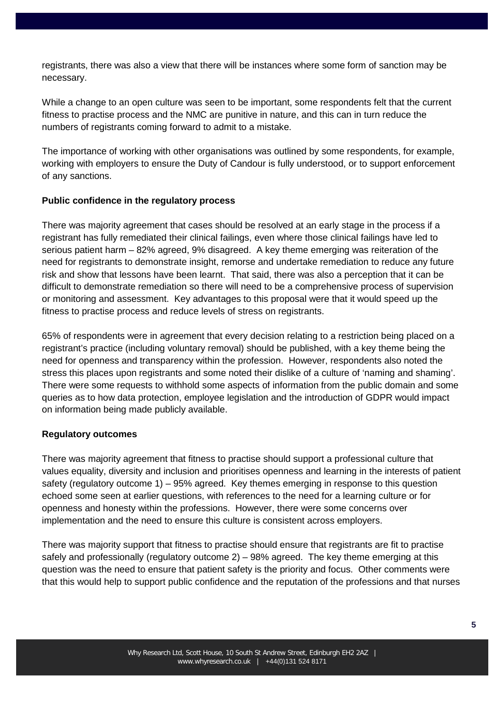registrants, there was also a view that there will be instances where some form of sanction may be necessary.

While a change to an open culture was seen to be important, some respondents felt that the current fitness to practise process and the NMC are punitive in nature, and this can in turn reduce the numbers of registrants coming forward to admit to a mistake.

The importance of working with other organisations was outlined by some respondents, for example, working with employers to ensure the Duty of Candour is fully understood, or to support enforcement of any sanctions.

#### **Public confidence in the regulatory process**

There was majority agreement that cases should be resolved at an early stage in the process if a registrant has fully remediated their clinical failings, even where those clinical failings have led to serious patient harm – 82% agreed, 9% disagreed. A key theme emerging was reiteration of the need for registrants to demonstrate insight, remorse and undertake remediation to reduce any future risk and show that lessons have been learnt. That said, there was also a perception that it can be difficult to demonstrate remediation so there will need to be a comprehensive process of supervision or monitoring and assessment. Key advantages to this proposal were that it would speed up the fitness to practise process and reduce levels of stress on registrants.

65% of respondents were in agreement that every decision relating to a restriction being placed on a registrant's practice (including voluntary removal) should be published, with a key theme being the need for openness and transparency within the profession. However, respondents also noted the stress this places upon registrants and some noted their dislike of a culture of 'naming and shaming'. There were some requests to withhold some aspects of information from the public domain and some queries as to how data protection, employee legislation and the introduction of GDPR would impact on information being made publicly available.

#### **Regulatory outcomes**

There was majority agreement that fitness to practise should support a professional culture that values equality, diversity and inclusion and prioritises openness and learning in the interests of patient safety (regulatory outcome 1) – 95% agreed. Key themes emerging in response to this question echoed some seen at earlier questions, with references to the need for a learning culture or for openness and honesty within the professions. However, there were some concerns over implementation and the need to ensure this culture is consistent across employers.

There was majority support that fitness to practise should ensure that registrants are fit to practise safely and professionally (regulatory outcome 2) – 98% agreed. The key theme emerging at this question was the need to ensure that patient safety is the priority and focus. Other comments were that this would help to support public confidence and the reputation of the professions and that nurses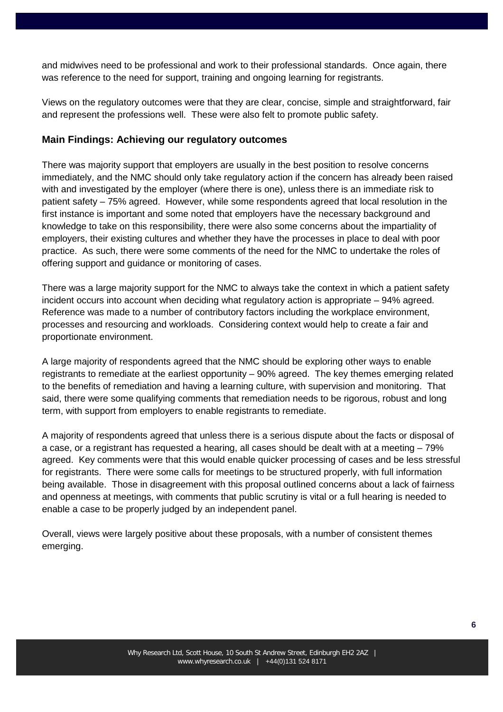and midwives need to be professional and work to their professional standards. Once again, there was reference to the need for support, training and ongoing learning for registrants.

Views on the regulatory outcomes were that they are clear, concise, simple and straightforward, fair and represent the professions well. These were also felt to promote public safety.

### **Main Findings: Achieving our regulatory outcomes**

There was majority support that employers are usually in the best position to resolve concerns immediately, and the NMC should only take regulatory action if the concern has already been raised with and investigated by the employer (where there is one), unless there is an immediate risk to patient safety – 75% agreed. However, while some respondents agreed that local resolution in the first instance is important and some noted that employers have the necessary background and knowledge to take on this responsibility, there were also some concerns about the impartiality of employers, their existing cultures and whether they have the processes in place to deal with poor practice. As such, there were some comments of the need for the NMC to undertake the roles of offering support and guidance or monitoring of cases.

There was a large majority support for the NMC to always take the context in which a patient safety incident occurs into account when deciding what regulatory action is appropriate – 94% agreed. Reference was made to a number of contributory factors including the workplace environment, processes and resourcing and workloads. Considering context would help to create a fair and proportionate environment.

A large majority of respondents agreed that the NMC should be exploring other ways to enable registrants to remediate at the earliest opportunity – 90% agreed. The key themes emerging related to the benefits of remediation and having a learning culture, with supervision and monitoring. That said, there were some qualifying comments that remediation needs to be rigorous, robust and long term, with support from employers to enable registrants to remediate.

A majority of respondents agreed that unless there is a serious dispute about the facts or disposal of a case, or a registrant has requested a hearing, all cases should be dealt with at a meeting – 79% agreed. Key comments were that this would enable quicker processing of cases and be less stressful for registrants. There were some calls for meetings to be structured properly, with full information being available. Those in disagreement with this proposal outlined concerns about a lack of fairness and openness at meetings, with comments that public scrutiny is vital or a full hearing is needed to enable a case to be properly judged by an independent panel.

Overall, views were largely positive about these proposals, with a number of consistent themes emerging.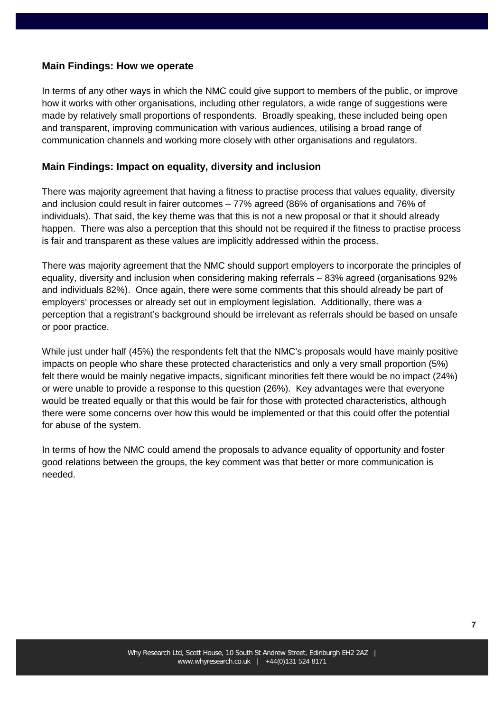### **Main Findings: How we operate**

In terms of any other ways in which the NMC could give support to members of the public, or improve how it works with other organisations, including other regulators, a wide range of suggestions were made by relatively small proportions of respondents. Broadly speaking, these included being open and transparent, improving communication with various audiences, utilising a broad range of communication channels and working more closely with other organisations and regulators.

### **Main Findings: Impact on equality, diversity and inclusion**

There was majority agreement that having a fitness to practise process that values equality, diversity and inclusion could result in fairer outcomes – 77% agreed (86% of organisations and 76% of individuals). That said, the key theme was that this is not a new proposal or that it should already happen. There was also a perception that this should not be required if the fitness to practise process is fair and transparent as these values are implicitly addressed within the process.

There was majority agreement that the NMC should support employers to incorporate the principles of equality, diversity and inclusion when considering making referrals – 83% agreed (organisations 92% and individuals 82%). Once again, there were some comments that this should already be part of employers' processes or already set out in employment legislation. Additionally, there was a perception that a registrant's background should be irrelevant as referrals should be based on unsafe or poor practice.

While just under half (45%) the respondents felt that the NMC's proposals would have mainly positive impacts on people who share these protected characteristics and only a very small proportion (5%) felt there would be mainly negative impacts, significant minorities felt there would be no impact (24%) or were unable to provide a response to this question (26%). Key advantages were that everyone would be treated equally or that this would be fair for those with protected characteristics, although there were some concerns over how this would be implemented or that this could offer the potential for abuse of the system.

In terms of how the NMC could amend the proposals to advance equality of opportunity and foster good relations between the groups, the key comment was that better or more communication is needed.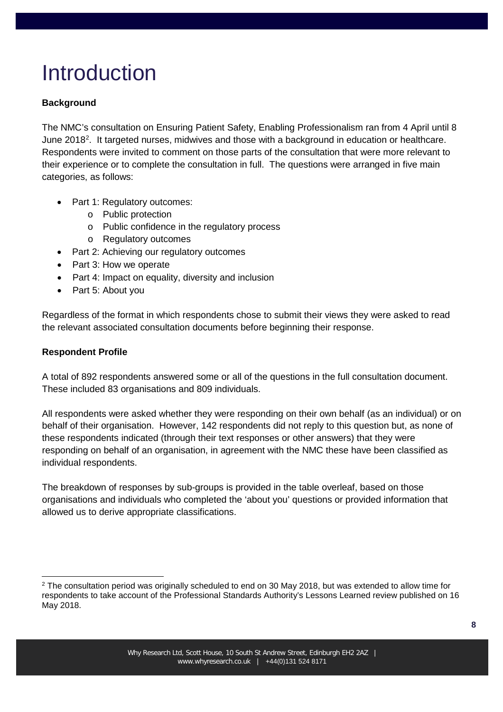# **Introduction**

## **Background**

The NMC's consultation on Ensuring Patient Safety, Enabling Professionalism ran from 4 April until 8 June [2](#page-7-0)018<sup>2</sup>. It targeted nurses, midwives and those with a background in education or healthcare. Respondents were invited to comment on those parts of the consultation that were more relevant to their experience or to complete the consultation in full. The questions were arranged in five main categories, as follows:

- Part 1: Regulatory outcomes:
	- o Public protection
	- o Public confidence in the regulatory process
	- o Regulatory outcomes
- Part 2: Achieving our regulatory outcomes
- Part 3: How we operate
- Part 4: Impact on equality, diversity and inclusion
- Part 5: About you

Regardless of the format in which respondents chose to submit their views they were asked to read the relevant associated consultation documents before beginning their response.

### **Respondent Profile**

A total of 892 respondents answered some or all of the questions in the full consultation document. These included 83 organisations and 809 individuals.

All respondents were asked whether they were responding on their own behalf (as an individual) or on behalf of their organisation. However, 142 respondents did not reply to this question but, as none of these respondents indicated (through their text responses or other answers) that they were responding on behalf of an organisation, in agreement with the NMC these have been classified as individual respondents.

The breakdown of responses by sub-groups is provided in the table overleaf, based on those organisations and individuals who completed the 'about you' questions or provided information that allowed us to derive appropriate classifications.

<span id="page-7-0"></span><sup>&</sup>lt;sup>2</sup> The consultation period was originally scheduled to end on 30 May 2018, but was extended to allow time for respondents to take account of the Professional Standards Authority's Lessons Learned review published on 16 May 2018.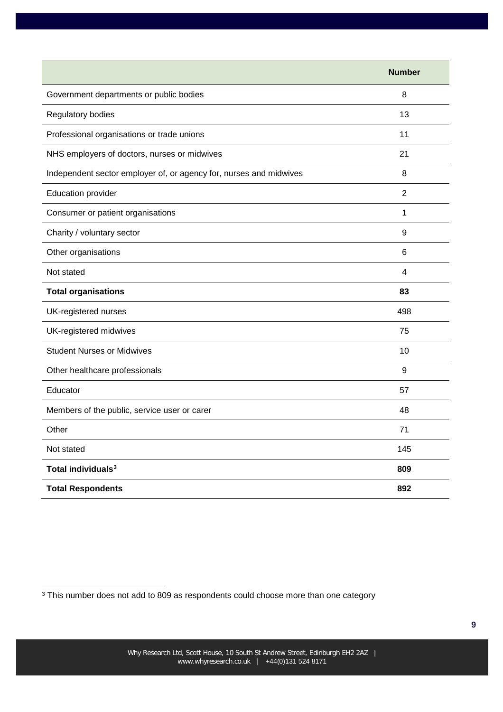|                                                                    | <b>Number</b>  |
|--------------------------------------------------------------------|----------------|
| Government departments or public bodies                            | 8              |
| Regulatory bodies                                                  | 13             |
| Professional organisations or trade unions                         | 11             |
| NHS employers of doctors, nurses or midwives                       | 21             |
| Independent sector employer of, or agency for, nurses and midwives | 8              |
| <b>Education provider</b>                                          | $\overline{2}$ |
| Consumer or patient organisations                                  | 1              |
| Charity / voluntary sector                                         | 9              |
| Other organisations                                                | $\,6\,$        |
| Not stated                                                         | 4              |
| <b>Total organisations</b>                                         | 83             |
| UK-registered nurses                                               | 498            |
| UK-registered midwives                                             | 75             |
| <b>Student Nurses or Midwives</b>                                  | 10             |
| Other healthcare professionals                                     | 9              |
| Educator                                                           | 57             |
| Members of the public, service user or carer                       | 48             |
| Other                                                              | 71             |
| Not stated                                                         | 145            |
| Total individuals <sup>3</sup>                                     | 809            |
| <b>Total Respondents</b>                                           | 892            |

<span id="page-8-0"></span><sup>3</sup> This number does not add to 809 as respondents could choose more than one category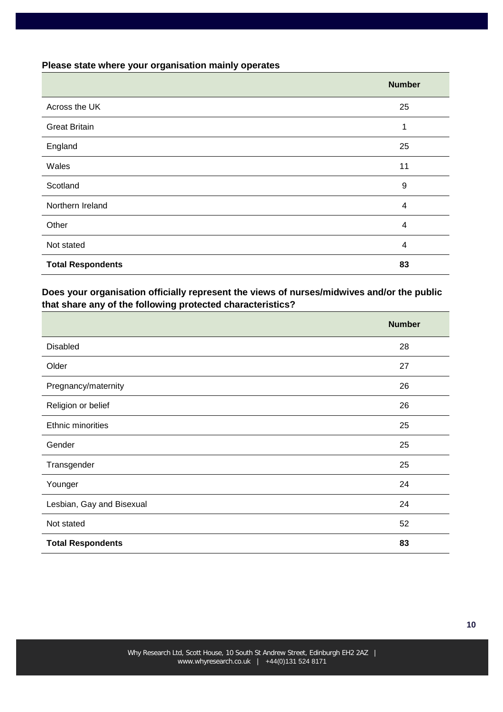#### **Please state where your organisation mainly operates**

|                          | <b>Number</b> |
|--------------------------|---------------|
| Across the UK            | 25            |
| <b>Great Britain</b>     | 1             |
| England                  | 25            |
| Wales                    | 11            |
| Scotland                 | 9             |
| Northern Ireland         | 4             |
| Other                    | 4             |
| Not stated               | 4             |
| <b>Total Respondents</b> | 83            |

## **Does your organisation officially represent the views of nurses/midwives and/or the public that share any of the following protected characteristics?**

|                           | <b>Number</b> |
|---------------------------|---------------|
| Disabled                  | 28            |
| Older                     | 27            |
| Pregnancy/maternity       | 26            |
| Religion or belief        | 26            |
| Ethnic minorities         | 25            |
| Gender                    | 25            |
| Transgender               | 25            |
| Younger                   | 24            |
| Lesbian, Gay and Bisexual | 24            |
| Not stated                | 52            |
| <b>Total Respondents</b>  | 83            |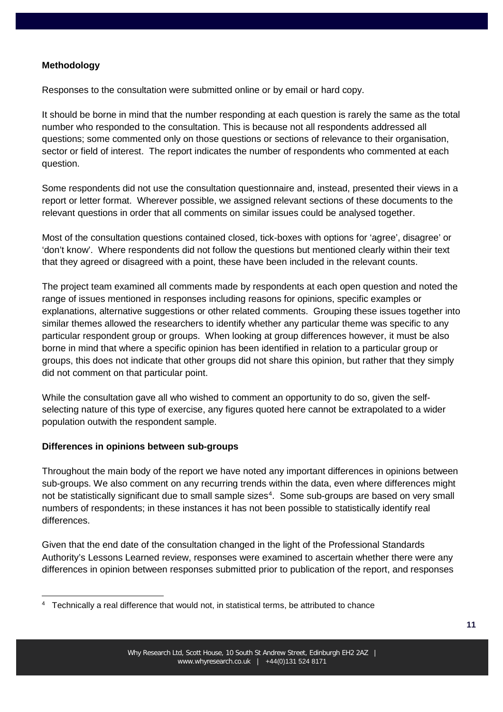#### **Methodology**

Responses to the consultation were submitted online or by email or hard copy.

It should be borne in mind that the number responding at each question is rarely the same as the total number who responded to the consultation. This is because not all respondents addressed all questions; some commented only on those questions or sections of relevance to their organisation, sector or field of interest. The report indicates the number of respondents who commented at each question.

Some respondents did not use the consultation questionnaire and, instead, presented their views in a report or letter format. Wherever possible, we assigned relevant sections of these documents to the relevant questions in order that all comments on similar issues could be analysed together.

Most of the consultation questions contained closed, tick-boxes with options for 'agree', disagree' or 'don't know'. Where respondents did not follow the questions but mentioned clearly within their text that they agreed or disagreed with a point, these have been included in the relevant counts.

The project team examined all comments made by respondents at each open question and noted the range of issues mentioned in responses including reasons for opinions, specific examples or explanations, alternative suggestions or other related comments. Grouping these issues together into similar themes allowed the researchers to identify whether any particular theme was specific to any particular respondent group or groups. When looking at group differences however, it must be also borne in mind that where a specific opinion has been identified in relation to a particular group or groups, this does not indicate that other groups did not share this opinion, but rather that they simply did not comment on that particular point.

While the consultation gave all who wished to comment an opportunity to do so, given the selfselecting nature of this type of exercise, any figures quoted here cannot be extrapolated to a wider population outwith the respondent sample.

#### **Differences in opinions between sub-groups**

Throughout the main body of the report we have noted any important differences in opinions between sub-groups. We also comment on any recurring trends within the data, even where differences might not be statistically significant due to small sample sizes<sup>[4](#page-10-0)</sup>. Some sub-groups are based on very small numbers of respondents; in these instances it has not been possible to statistically identify real differences.

Given that the end date of the consultation changed in the light of the Professional Standards Authority's Lessons Learned review, responses were examined to ascertain whether there were any differences in opinion between responses submitted prior to publication of the report, and responses

<span id="page-10-0"></span>4 Technically a real difference that would not, in statistical terms, be attributed to chance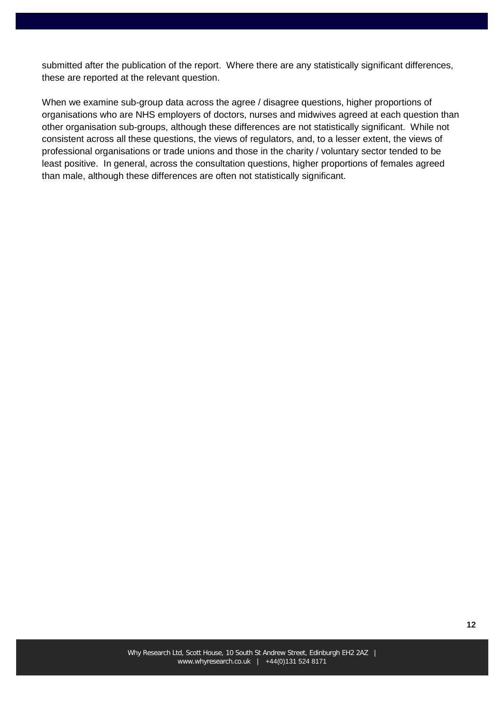submitted after the publication of the report. Where there are any statistically significant differences, these are reported at the relevant question.

When we examine sub-group data across the agree / disagree questions, higher proportions of organisations who are NHS employers of doctors, nurses and midwives agreed at each question than other organisation sub-groups, although these differences are not statistically significant. While not consistent across all these questions, the views of regulators, and, to a lesser extent, the views of professional organisations or trade unions and those in the charity / voluntary sector tended to be least positive. In general, across the consultation questions, higher proportions of females agreed than male, although these differences are often not statistically significant.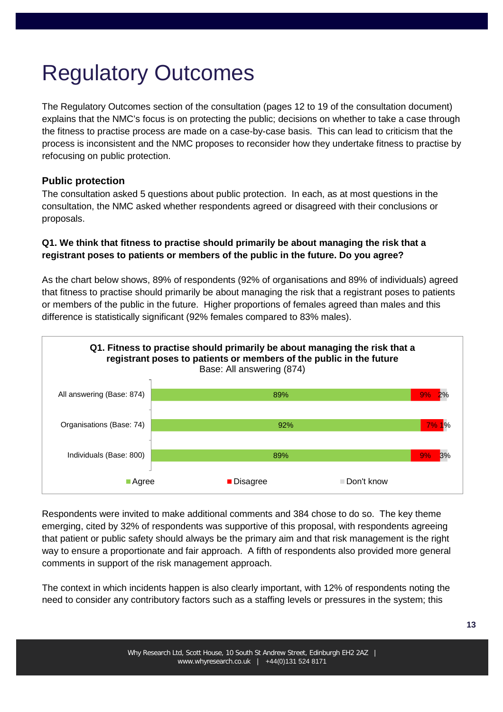# Regulatory Outcomes

The Regulatory Outcomes section of the consultation (pages 12 to 19 of the consultation document) explains that the NMC's focus is on protecting the public; decisions on whether to take a case through the fitness to practise process are made on a case-by-case basis. This can lead to criticism that the process is inconsistent and the NMC proposes to reconsider how they undertake fitness to practise by refocusing on public protection.

## **Public protection**

The consultation asked 5 questions about public protection. In each, as at most questions in the consultation, the NMC asked whether respondents agreed or disagreed with their conclusions or proposals.

## **Q1. We think that fitness to practise should primarily be about managing the risk that a registrant poses to patients or members of the public in the future. Do you agree?**

As the chart below shows, 89% of respondents (92% of organisations and 89% of individuals) agreed that fitness to practise should primarily be about managing the risk that a registrant poses to patients or members of the public in the future. Higher proportions of females agreed than males and this difference is statistically significant (92% females compared to 83% males).



Respondents were invited to make additional comments and 384 chose to do so. The key theme emerging, cited by 32% of respondents was supportive of this proposal, with respondents agreeing that patient or public safety should always be the primary aim and that risk management is the right way to ensure a proportionate and fair approach. A fifth of respondents also provided more general comments in support of the risk management approach.

The context in which incidents happen is also clearly important, with 12% of respondents noting the need to consider any contributory factors such as a staffing levels or pressures in the system; this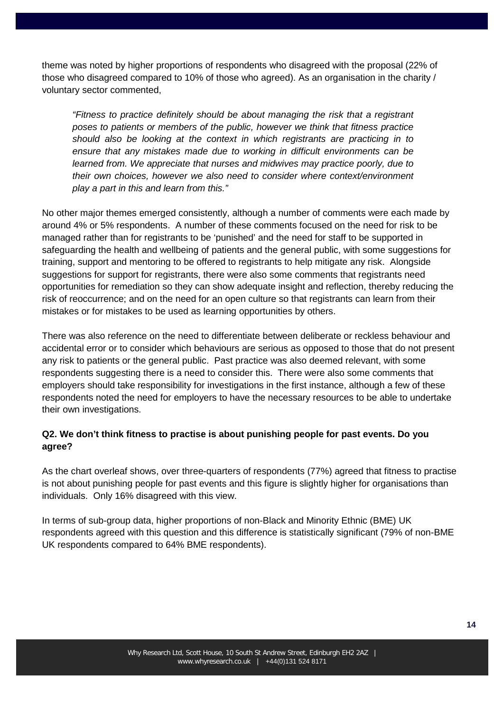theme was noted by higher proportions of respondents who disagreed with the proposal (22% of those who disagreed compared to 10% of those who agreed). As an organisation in the charity / voluntary sector commented,

*"Fitness to practice definitely should be about managing the risk that a registrant poses to patients or members of the public, however we think that fitness practice should also be looking at the context in which registrants are practicing in to ensure that any mistakes made due to working in difficult environments can be learned from. We appreciate that nurses and midwives may practice poorly, due to their own choices, however we also need to consider where context/environment play a part in this and learn from this."*

No other major themes emerged consistently, although a number of comments were each made by around 4% or 5% respondents. A number of these comments focused on the need for risk to be managed rather than for registrants to be 'punished' and the need for staff to be supported in safeguarding the health and wellbeing of patients and the general public, with some suggestions for training, support and mentoring to be offered to registrants to help mitigate any risk. Alongside suggestions for support for registrants, there were also some comments that registrants need opportunities for remediation so they can show adequate insight and reflection, thereby reducing the risk of reoccurrence; and on the need for an open culture so that registrants can learn from their mistakes or for mistakes to be used as learning opportunities by others.

There was also reference on the need to differentiate between deliberate or reckless behaviour and accidental error or to consider which behaviours are serious as opposed to those that do not present any risk to patients or the general public. Past practice was also deemed relevant, with some respondents suggesting there is a need to consider this. There were also some comments that employers should take responsibility for investigations in the first instance, although a few of these respondents noted the need for employers to have the necessary resources to be able to undertake their own investigations.

### **Q2. We don't think fitness to practise is about punishing people for past events. Do you agree?**

As the chart overleaf shows, over three-quarters of respondents (77%) agreed that fitness to practise is not about punishing people for past events and this figure is slightly higher for organisations than individuals. Only 16% disagreed with this view.

In terms of sub-group data, higher proportions of non-Black and Minority Ethnic (BME) UK respondents agreed with this question and this difference is statistically significant (79% of non-BME UK respondents compared to 64% BME respondents).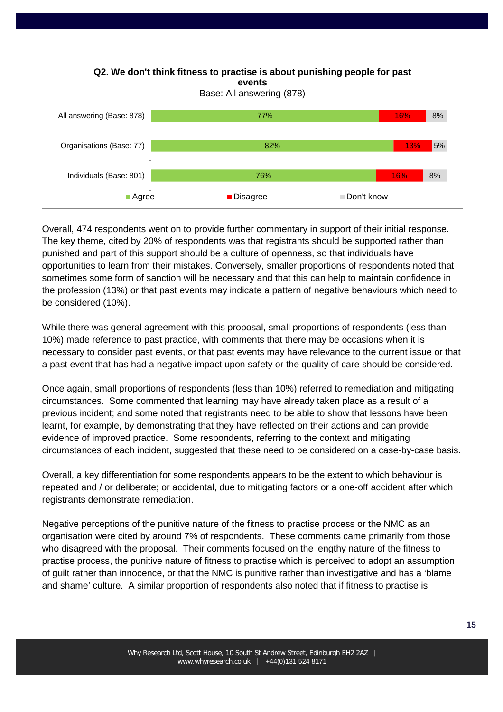

Overall, 474 respondents went on to provide further commentary in support of their initial response. The key theme, cited by 20% of respondents was that registrants should be supported rather than punished and part of this support should be a culture of openness, so that individuals have opportunities to learn from their mistakes. Conversely, smaller proportions of respondents noted that sometimes some form of sanction will be necessary and that this can help to maintain confidence in the profession (13%) or that past events may indicate a pattern of negative behaviours which need to be considered (10%).

While there was general agreement with this proposal, small proportions of respondents (less than 10%) made reference to past practice, with comments that there may be occasions when it is necessary to consider past events, or that past events may have relevance to the current issue or that a past event that has had a negative impact upon safety or the quality of care should be considered.

Once again, small proportions of respondents (less than 10%) referred to remediation and mitigating circumstances. Some commented that learning may have already taken place as a result of a previous incident; and some noted that registrants need to be able to show that lessons have been learnt, for example, by demonstrating that they have reflected on their actions and can provide evidence of improved practice. Some respondents, referring to the context and mitigating circumstances of each incident, suggested that these need to be considered on a case-by-case basis.

Overall, a key differentiation for some respondents appears to be the extent to which behaviour is repeated and / or deliberate; or accidental, due to mitigating factors or a one-off accident after which registrants demonstrate remediation.

Negative perceptions of the punitive nature of the fitness to practise process or the NMC as an organisation were cited by around 7% of respondents. These comments came primarily from those who disagreed with the proposal. Their comments focused on the lengthy nature of the fitness to practise process, the punitive nature of fitness to practise which is perceived to adopt an assumption of guilt rather than innocence, or that the NMC is punitive rather than investigative and has a 'blame and shame' culture. A similar proportion of respondents also noted that if fitness to practise is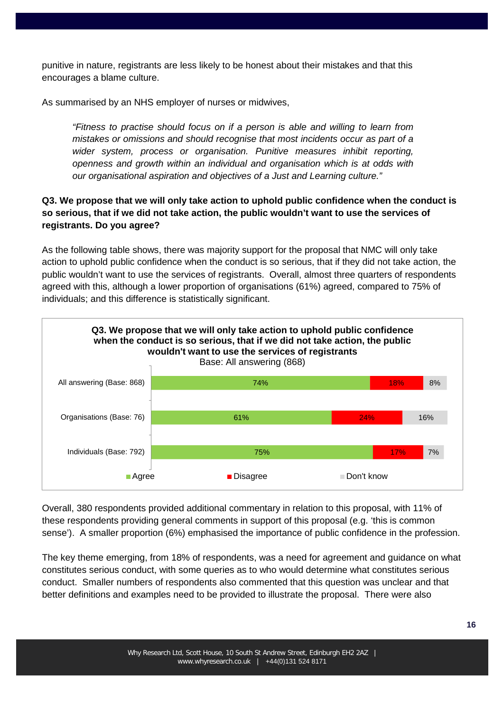punitive in nature, registrants are less likely to be honest about their mistakes and that this encourages a blame culture.

As summarised by an NHS employer of nurses or midwives,

*"Fitness to practise should focus on if a person is able and willing to learn from mistakes or omissions and should recognise that most incidents occur as part of a wider system, process or organisation. Punitive measures inhibit reporting, openness and growth within an individual and organisation which is at odds with our organisational aspiration and objectives of a Just and Learning culture."* 

## **Q3. We propose that we will only take action to uphold public confidence when the conduct is so serious, that if we did not take action, the public wouldn't want to use the services of registrants. Do you agree?**

As the following table shows, there was majority support for the proposal that NMC will only take action to uphold public confidence when the conduct is so serious, that if they did not take action, the public wouldn't want to use the services of registrants. Overall, almost three quarters of respondents agreed with this, although a lower proportion of organisations (61%) agreed, compared to 75% of individuals; and this difference is statistically significant.



Overall, 380 respondents provided additional commentary in relation to this proposal, with 11% of these respondents providing general comments in support of this proposal (e.g. 'this is common sense'). A smaller proportion (6%) emphasised the importance of public confidence in the profession.

The key theme emerging, from 18% of respondents, was a need for agreement and guidance on what constitutes serious conduct, with some queries as to who would determine what constitutes serious conduct. Smaller numbers of respondents also commented that this question was unclear and that better definitions and examples need to be provided to illustrate the proposal. There were also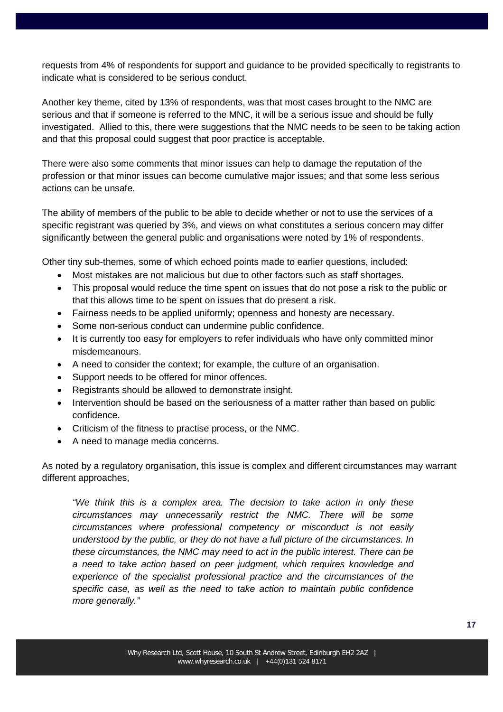requests from 4% of respondents for support and guidance to be provided specifically to registrants to indicate what is considered to be serious conduct.

Another key theme, cited by 13% of respondents, was that most cases brought to the NMC are serious and that if someone is referred to the MNC, it will be a serious issue and should be fully investigated. Allied to this, there were suggestions that the NMC needs to be seen to be taking action and that this proposal could suggest that poor practice is acceptable.

There were also some comments that minor issues can help to damage the reputation of the profession or that minor issues can become cumulative major issues; and that some less serious actions can be unsafe.

The ability of members of the public to be able to decide whether or not to use the services of a specific registrant was queried by 3%, and views on what constitutes a serious concern may differ significantly between the general public and organisations were noted by 1% of respondents.

Other tiny sub-themes, some of which echoed points made to earlier questions, included:

- Most mistakes are not malicious but due to other factors such as staff shortages.
- This proposal would reduce the time spent on issues that do not pose a risk to the public or that this allows time to be spent on issues that do present a risk.
- Fairness needs to be applied uniformly; openness and honesty are necessary.
- Some non-serious conduct can undermine public confidence.
- It is currently too easy for employers to refer individuals who have only committed minor misdemeanours.
- A need to consider the context; for example, the culture of an organisation.
- Support needs to be offered for minor offences.
- Registrants should be allowed to demonstrate insight.
- Intervention should be based on the seriousness of a matter rather than based on public confidence.
- Criticism of the fitness to practise process, or the NMC.
- A need to manage media concerns.

As noted by a regulatory organisation, this issue is complex and different circumstances may warrant different approaches,

*"We think this is a complex area. The decision to take action in only these circumstances may unnecessarily restrict the NMC. There will be some circumstances where professional competency or misconduct is not easily understood by the public, or they do not have a full picture of the circumstances. In these circumstances, the NMC may need to act in the public interest. There can be a need to take action based on peer judgment, which requires knowledge and experience of the specialist professional practice and the circumstances of the specific case, as well as the need to take action to maintain public confidence more generally."*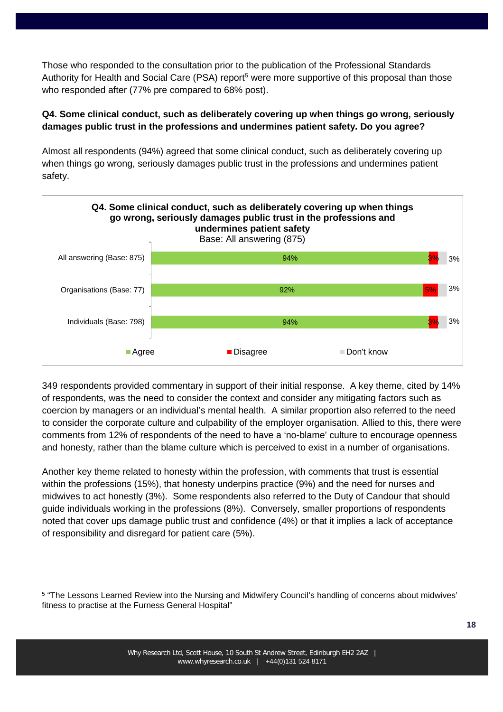Those who responded to the consultation prior to the publication of the Professional Standards Authority for Health and Social Care (PSA) report<sup>[5](#page-17-0)</sup> were more supportive of this proposal than those who responded after (77% pre compared to 68% post).

## **Q4. Some clinical conduct, such as deliberately covering up when things go wrong, seriously damages public trust in the professions and undermines patient safety. Do you agree?**

Almost all respondents (94%) agreed that some clinical conduct, such as deliberately covering up when things go wrong, seriously damages public trust in the professions and undermines patient safety.



349 respondents provided commentary in support of their initial response. A key theme, cited by 14% of respondents, was the need to consider the context and consider any mitigating factors such as coercion by managers or an individual's mental health. A similar proportion also referred to the need to consider the corporate culture and culpability of the employer organisation. Allied to this, there were comments from 12% of respondents of the need to have a 'no-blame' culture to encourage openness and honesty, rather than the blame culture which is perceived to exist in a number of organisations.

Another key theme related to honesty within the profession, with comments that trust is essential within the professions (15%), that honesty underpins practice (9%) and the need for nurses and midwives to act honestly (3%). Some respondents also referred to the Duty of Candour that should guide individuals working in the professions (8%). Conversely, smaller proportions of respondents noted that cover ups damage public trust and confidence (4%) or that it implies a lack of acceptance of responsibility and disregard for patient care (5%).

<span id="page-17-0"></span><sup>5</sup> "The Lessons Learned Review into the Nursing and Midwifery Council's handling of concerns about midwives' fitness to practise at the Furness General Hospital"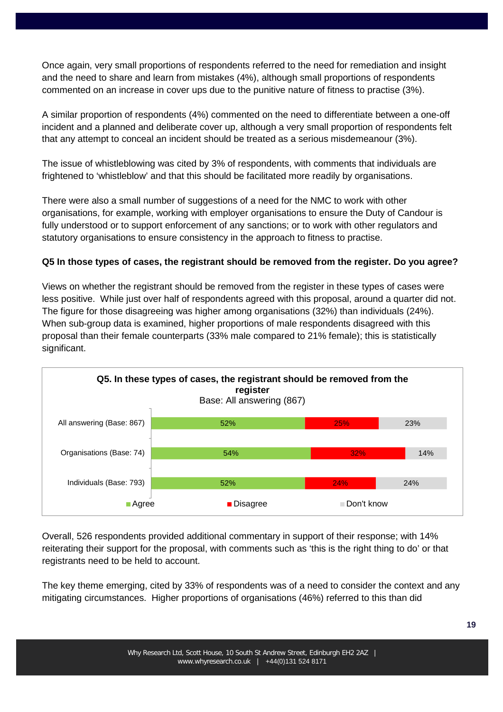Once again, very small proportions of respondents referred to the need for remediation and insight and the need to share and learn from mistakes (4%), although small proportions of respondents commented on an increase in cover ups due to the punitive nature of fitness to practise (3%).

A similar proportion of respondents (4%) commented on the need to differentiate between a one-off incident and a planned and deliberate cover up, although a very small proportion of respondents felt that any attempt to conceal an incident should be treated as a serious misdemeanour (3%).

The issue of whistleblowing was cited by 3% of respondents, with comments that individuals are frightened to 'whistleblow' and that this should be facilitated more readily by organisations.

There were also a small number of suggestions of a need for the NMC to work with other organisations, for example, working with employer organisations to ensure the Duty of Candour is fully understood or to support enforcement of any sanctions; or to work with other regulators and statutory organisations to ensure consistency in the approach to fitness to practise.

## **Q5 In those types of cases, the registrant should be removed from the register. Do you agree?**

Views on whether the registrant should be removed from the register in these types of cases were less positive. While just over half of respondents agreed with this proposal, around a quarter did not. The figure for those disagreeing was higher among organisations (32%) than individuals (24%). When sub-group data is examined, higher proportions of male respondents disagreed with this proposal than their female counterparts (33% male compared to 21% female); this is statistically significant.



Overall, 526 respondents provided additional commentary in support of their response; with 14% reiterating their support for the proposal, with comments such as 'this is the right thing to do' or that registrants need to be held to account.

The key theme emerging, cited by 33% of respondents was of a need to consider the context and any mitigating circumstances. Higher proportions of organisations (46%) referred to this than did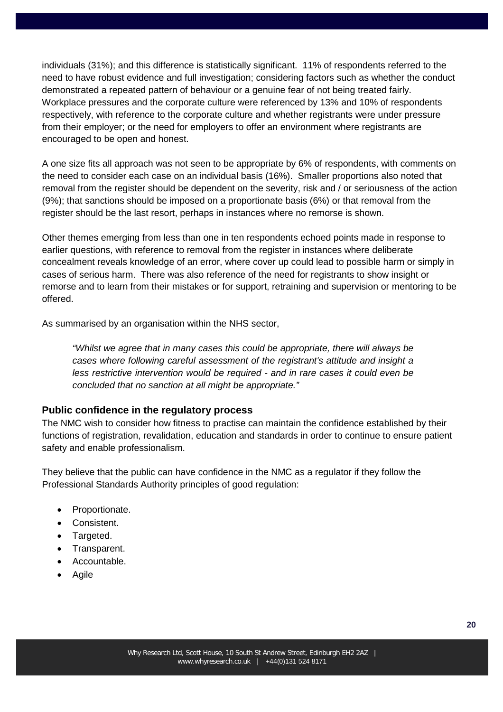individuals (31%); and this difference is statistically significant. 11% of respondents referred to the need to have robust evidence and full investigation; considering factors such as whether the conduct demonstrated a repeated pattern of behaviour or a genuine fear of not being treated fairly. Workplace pressures and the corporate culture were referenced by 13% and 10% of respondents respectively, with reference to the corporate culture and whether registrants were under pressure from their employer; or the need for employers to offer an environment where registrants are encouraged to be open and honest.

A one size fits all approach was not seen to be appropriate by 6% of respondents, with comments on the need to consider each case on an individual basis (16%). Smaller proportions also noted that removal from the register should be dependent on the severity, risk and / or seriousness of the action (9%); that sanctions should be imposed on a proportionate basis (6%) or that removal from the register should be the last resort, perhaps in instances where no remorse is shown.

Other themes emerging from less than one in ten respondents echoed points made in response to earlier questions, with reference to removal from the register in instances where deliberate concealment reveals knowledge of an error, where cover up could lead to possible harm or simply in cases of serious harm. There was also reference of the need for registrants to show insight or remorse and to learn from their mistakes or for support, retraining and supervision or mentoring to be offered.

As summarised by an organisation within the NHS sector,

*"Whilst we agree that in many cases this could be appropriate, there will always be cases where following careful assessment of the registrant's attitude and insight a less restrictive intervention would be required - and in rare cases it could even be concluded that no sanction at all might be appropriate."*

#### **Public confidence in the regulatory process**

The NMC wish to consider how fitness to practise can maintain the confidence established by their functions of registration, revalidation, education and standards in order to continue to ensure patient safety and enable professionalism.

They believe that the public can have confidence in the NMC as a regulator if they follow the Professional Standards Authority principles of good regulation:

- Proportionate.
- Consistent.
- Targeted.
- Transparent.
- Accountable.
- Agile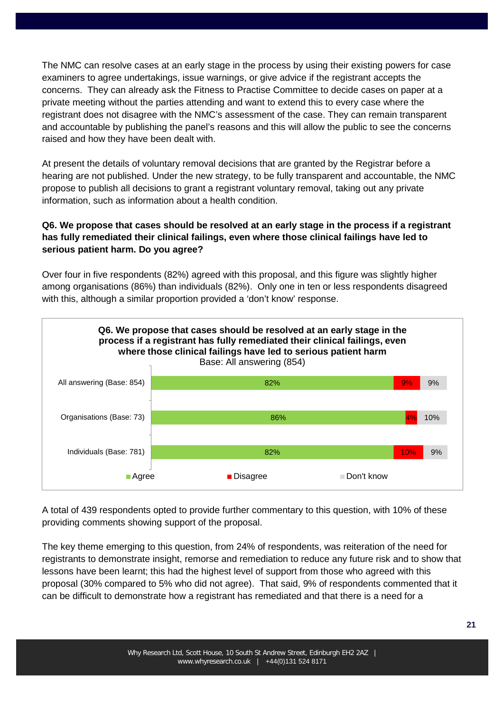The NMC can resolve cases at an early stage in the process by using their existing powers for case examiners to agree undertakings, issue warnings, or give advice if the registrant accepts the concerns. They can already ask the Fitness to Practise Committee to decide cases on paper at a private meeting without the parties attending and want to extend this to every case where the registrant does not disagree with the NMC's assessment of the case. They can remain transparent and accountable by publishing the panel's reasons and this will allow the public to see the concerns raised and how they have been dealt with.

At present the details of voluntary removal decisions that are granted by the Registrar before a hearing are not published. Under the new strategy, to be fully transparent and accountable, the NMC propose to publish all decisions to grant a registrant voluntary removal, taking out any private information, such as information about a health condition.

## **Q6. We propose that cases should be resolved at an early stage in the process if a registrant has fully remediated their clinical failings, even where those clinical failings have led to serious patient harm. Do you agree?**

Over four in five respondents (82%) agreed with this proposal, and this figure was slightly higher among organisations (86%) than individuals (82%). Only one in ten or less respondents disagreed with this, although a similar proportion provided a 'don't know' response.



A total of 439 respondents opted to provide further commentary to this question, with 10% of these providing comments showing support of the proposal.

The key theme emerging to this question, from 24% of respondents, was reiteration of the need for registrants to demonstrate insight, remorse and remediation to reduce any future risk and to show that lessons have been learnt; this had the highest level of support from those who agreed with this proposal (30% compared to 5% who did not agree). That said, 9% of respondents commented that it can be difficult to demonstrate how a registrant has remediated and that there is a need for a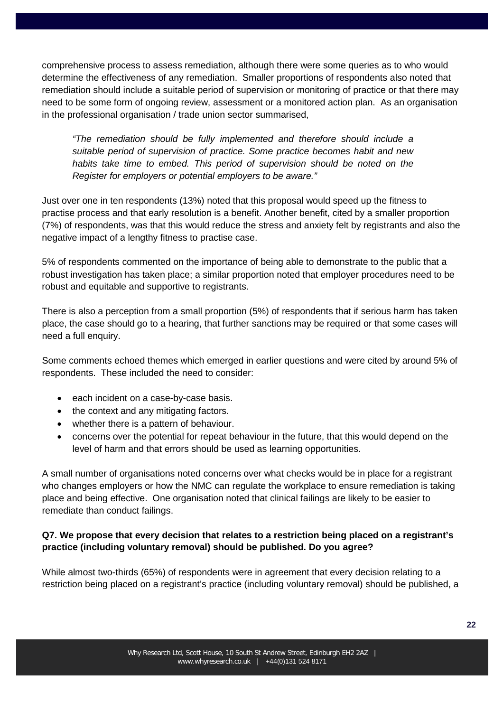comprehensive process to assess remediation, although there were some queries as to who would determine the effectiveness of any remediation. Smaller proportions of respondents also noted that remediation should include a suitable period of supervision or monitoring of practice or that there may need to be some form of ongoing review, assessment or a monitored action plan. As an organisation in the professional organisation / trade union sector summarised,

*"The remediation should be fully implemented and therefore should include a suitable period of supervision of practice. Some practice becomes habit and new habits take time to embed. This period of supervision should be noted on the Register for employers or potential employers to be aware."*

Just over one in ten respondents (13%) noted that this proposal would speed up the fitness to practise process and that early resolution is a benefit. Another benefit, cited by a smaller proportion (7%) of respondents, was that this would reduce the stress and anxiety felt by registrants and also the negative impact of a lengthy fitness to practise case.

5% of respondents commented on the importance of being able to demonstrate to the public that a robust investigation has taken place; a similar proportion noted that employer procedures need to be robust and equitable and supportive to registrants.

There is also a perception from a small proportion (5%) of respondents that if serious harm has taken place, the case should go to a hearing, that further sanctions may be required or that some cases will need a full enquiry.

Some comments echoed themes which emerged in earlier questions and were cited by around 5% of respondents. These included the need to consider:

- each incident on a case-by-case basis.
- the context and any mitigating factors.
- whether there is a pattern of behaviour.
- concerns over the potential for repeat behaviour in the future, that this would depend on the level of harm and that errors should be used as learning opportunities.

A small number of organisations noted concerns over what checks would be in place for a registrant who changes employers or how the NMC can regulate the workplace to ensure remediation is taking place and being effective. One organisation noted that clinical failings are likely to be easier to remediate than conduct failings.

## **Q7. We propose that every decision that relates to a restriction being placed on a registrant's practice (including voluntary removal) should be published. Do you agree?**

While almost two-thirds (65%) of respondents were in agreement that every decision relating to a restriction being placed on a registrant's practice (including voluntary removal) should be published, a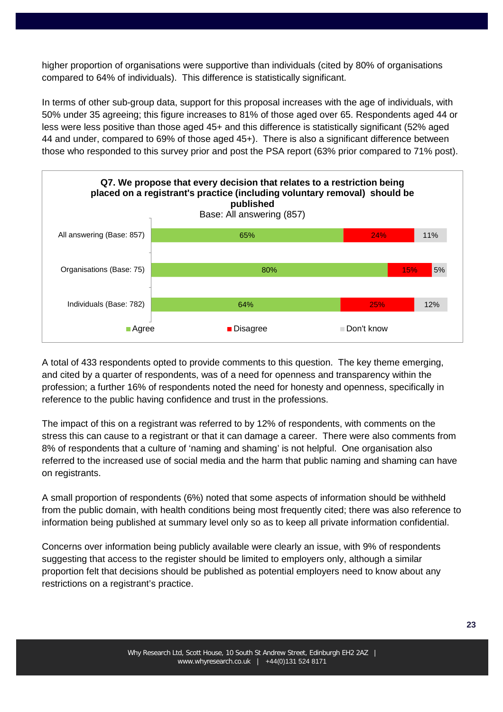higher proportion of organisations were supportive than individuals (cited by 80% of organisations compared to 64% of individuals). This difference is statistically significant.

In terms of other sub-group data, support for this proposal increases with the age of individuals, with 50% under 35 agreeing; this figure increases to 81% of those aged over 65. Respondents aged 44 or less were less positive than those aged 45+ and this difference is statistically significant (52% aged 44 and under, compared to 69% of those aged 45+). There is also a significant difference between those who responded to this survey prior and post the PSA report (63% prior compared to 71% post).



A total of 433 respondents opted to provide comments to this question. The key theme emerging, and cited by a quarter of respondents, was of a need for openness and transparency within the profession; a further 16% of respondents noted the need for honesty and openness, specifically in reference to the public having confidence and trust in the professions.

The impact of this on a registrant was referred to by 12% of respondents, with comments on the stress this can cause to a registrant or that it can damage a career. There were also comments from 8% of respondents that a culture of 'naming and shaming' is not helpful. One organisation also referred to the increased use of social media and the harm that public naming and shaming can have on registrants.

A small proportion of respondents (6%) noted that some aspects of information should be withheld from the public domain, with health conditions being most frequently cited; there was also reference to information being published at summary level only so as to keep all private information confidential.

Concerns over information being publicly available were clearly an issue, with 9% of respondents suggesting that access to the register should be limited to employers only, although a similar proportion felt that decisions should be published as potential employers need to know about any restrictions on a registrant's practice.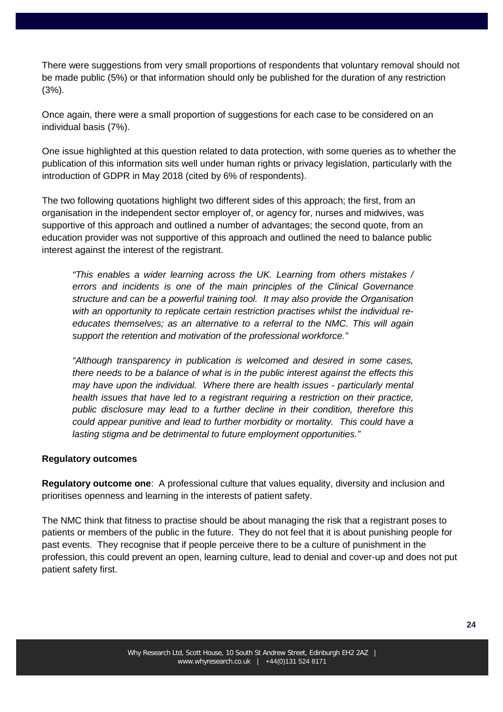There were suggestions from very small proportions of respondents that voluntary removal should not be made public (5%) or that information should only be published for the duration of any restriction (3%).

Once again, there were a small proportion of suggestions for each case to be considered on an individual basis (7%).

One issue highlighted at this question related to data protection, with some queries as to whether the publication of this information sits well under human rights or privacy legislation, particularly with the introduction of GDPR in May 2018 (cited by 6% of respondents).

The two following quotations highlight two different sides of this approach; the first, from an organisation in the independent sector employer of, or agency for, nurses and midwives, was supportive of this approach and outlined a number of advantages; the second quote, from an education provider was not supportive of this approach and outlined the need to balance public interest against the interest of the registrant.

*"This enables a wider learning across the UK. Learning from others mistakes / errors and incidents is one of the main principles of the Clinical Governance structure and can be a powerful training tool. It may also provide the Organisation with an opportunity to replicate certain restriction practises whilst the individual reeducates themselves; as an alternative to a referral to the NMC. This will again support the retention and motivation of the professional workforce."* 

*"Although transparency in publication is welcomed and desired in some cases, there needs to be a balance of what is in the public interest against the effects this may have upon the individual. Where there are health issues - particularly mental health issues that have led to a registrant requiring a restriction on their practice, public disclosure may lead to a further decline in their condition, therefore this could appear punitive and lead to further morbidity or mortality. This could have a lasting stigma and be detrimental to future employment opportunities."*

#### **Regulatory outcomes**

**Regulatory outcome one**: A professional culture that values equality, diversity and inclusion and prioritises openness and learning in the interests of patient safety.

The NMC think that fitness to practise should be about managing the risk that a registrant poses to patients or members of the public in the future. They do not feel that it is about punishing people for past events. They recognise that if people perceive there to be a culture of punishment in the profession, this could prevent an open, learning culture, lead to denial and cover-up and does not put patient safety first.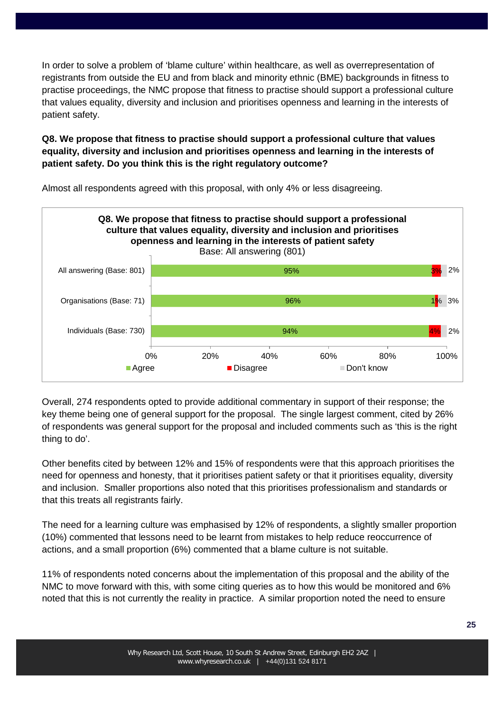In order to solve a problem of 'blame culture' within healthcare, as well as overrepresentation of registrants from outside the EU and from black and minority ethnic (BME) backgrounds in fitness to practise proceedings, the NMC propose that fitness to practise should support a professional culture that values equality, diversity and inclusion and prioritises openness and learning in the interests of patient safety.

## **Q8. We propose that fitness to practise should support a professional culture that values equality, diversity and inclusion and prioritises openness and learning in the interests of patient safety. Do you think this is the right regulatory outcome?**



Almost all respondents agreed with this proposal, with only 4% or less disagreeing.

Overall, 274 respondents opted to provide additional commentary in support of their response; the key theme being one of general support for the proposal. The single largest comment, cited by 26% of respondents was general support for the proposal and included comments such as 'this is the right thing to do'.

Other benefits cited by between 12% and 15% of respondents were that this approach prioritises the need for openness and honesty, that it prioritises patient safety or that it prioritises equality, diversity and inclusion. Smaller proportions also noted that this prioritises professionalism and standards or that this treats all registrants fairly.

The need for a learning culture was emphasised by 12% of respondents, a slightly smaller proportion (10%) commented that lessons need to be learnt from mistakes to help reduce reoccurrence of actions, and a small proportion (6%) commented that a blame culture is not suitable.

11% of respondents noted concerns about the implementation of this proposal and the ability of the NMC to move forward with this, with some citing queries as to how this would be monitored and 6% noted that this is not currently the reality in practice. A similar proportion noted the need to ensure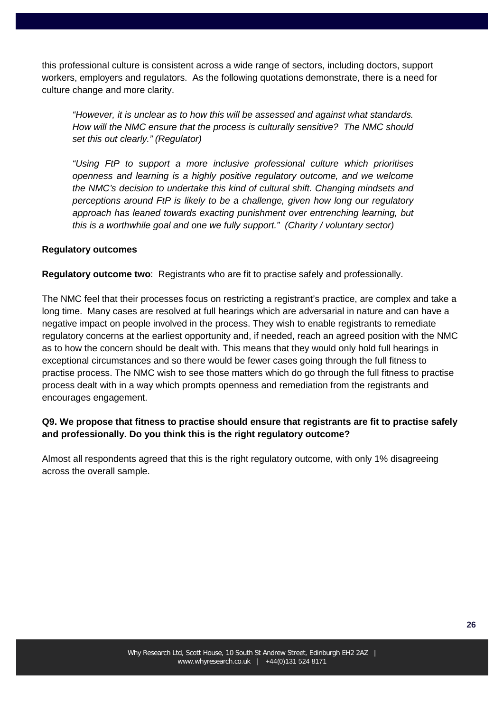this professional culture is consistent across a wide range of sectors, including doctors, support workers, employers and regulators. As the following quotations demonstrate, there is a need for culture change and more clarity.

*"However, it is unclear as to how this will be assessed and against what standards. How will the NMC ensure that the process is culturally sensitive? The NMC should set this out clearly." (Regulator)*

*"Using FtP to support a more inclusive professional culture which prioritises openness and learning is a highly positive regulatory outcome, and we welcome the NMC's decision to undertake this kind of cultural shift. Changing mindsets and perceptions around FtP is likely to be a challenge, given how long our regulatory approach has leaned towards exacting punishment over entrenching learning, but this is a worthwhile goal and one we fully support." (Charity / voluntary sector)*

#### **Regulatory outcomes**

**Regulatory outcome two**: Registrants who are fit to practise safely and professionally.

The NMC feel that their processes focus on restricting a registrant's practice, are complex and take a long time. Many cases are resolved at full hearings which are adversarial in nature and can have a negative impact on people involved in the process. They wish to enable registrants to remediate regulatory concerns at the earliest opportunity and, if needed, reach an agreed position with the NMC as to how the concern should be dealt with. This means that they would only hold full hearings in exceptional circumstances and so there would be fewer cases going through the full fitness to practise process. The NMC wish to see those matters which do go through the full fitness to practise process dealt with in a way which prompts openness and remediation from the registrants and encourages engagement.

## **Q9. We propose that fitness to practise should ensure that registrants are fit to practise safely and professionally. Do you think this is the right regulatory outcome?**

Almost all respondents agreed that this is the right regulatory outcome, with only 1% disagreeing across the overall sample.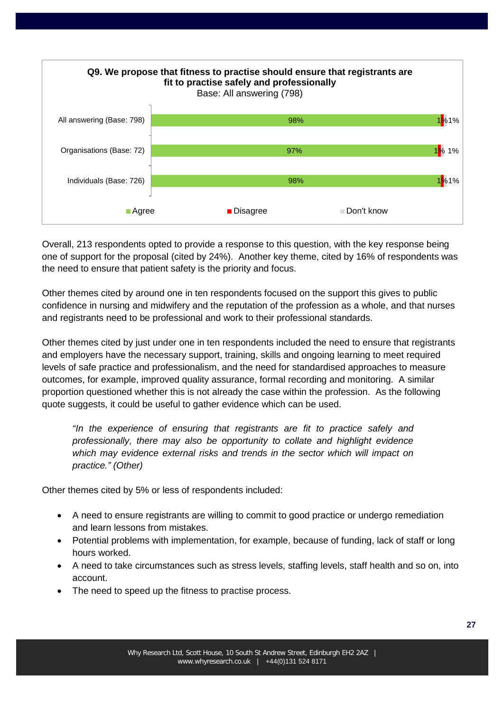

Overall, 213 respondents opted to provide a response to this question, with the key response being one of support for the proposal (cited by 24%). Another key theme, cited by 16% of respondents was the need to ensure that patient safety is the priority and focus.

Other themes cited by around one in ten respondents focused on the support this gives to public confidence in nursing and midwifery and the reputation of the profession as a whole, and that nurses and registrants need to be professional and work to their professional standards.

Other themes cited by just under one in ten respondents included the need to ensure that registrants and employers have the necessary support, training, skills and ongoing learning to meet required levels of safe practice and professionalism, and the need for standardised approaches to measure outcomes, for example, improved quality assurance, formal recording and monitoring. A similar proportion questioned whether this is not already the case within the profession. As the following quote suggests, it could be useful to gather evidence which can be used.

*"In the experience of ensuring that registrants are fit to practice safely and professionally, there may also be opportunity to collate and highlight evidence which may evidence external risks and trends in the sector which will impact on practice." (Other)*

Other themes cited by 5% or less of respondents included:

- A need to ensure registrants are willing to commit to good practice or undergo remediation and learn lessons from mistakes.
- Potential problems with implementation, for example, because of funding, lack of staff or long hours worked.
- A need to take circumstances such as stress levels, staffing levels, staff health and so on, into account.
- The need to speed up the fitness to practise process.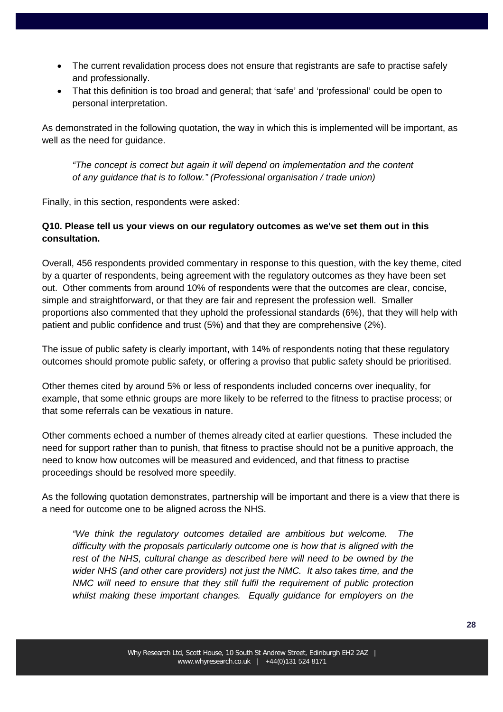- The current revalidation process does not ensure that registrants are safe to practise safely and professionally.
- That this definition is too broad and general; that 'safe' and 'professional' could be open to personal interpretation.

As demonstrated in the following quotation, the way in which this is implemented will be important, as well as the need for guidance.

*"The concept is correct but again it will depend on implementation and the content of any guidance that is to follow." (Professional organisation / trade union)*

Finally, in this section, respondents were asked:

## **Q10. Please tell us your views on our regulatory outcomes as we've set them out in this consultation.**

Overall, 456 respondents provided commentary in response to this question, with the key theme, cited by a quarter of respondents, being agreement with the regulatory outcomes as they have been set out. Other comments from around 10% of respondents were that the outcomes are clear, concise, simple and straightforward, or that they are fair and represent the profession well. Smaller proportions also commented that they uphold the professional standards (6%), that they will help with patient and public confidence and trust (5%) and that they are comprehensive (2%).

The issue of public safety is clearly important, with 14% of respondents noting that these regulatory outcomes should promote public safety, or offering a proviso that public safety should be prioritised.

Other themes cited by around 5% or less of respondents included concerns over inequality, for example, that some ethnic groups are more likely to be referred to the fitness to practise process; or that some referrals can be vexatious in nature.

Other comments echoed a number of themes already cited at earlier questions. These included the need for support rather than to punish, that fitness to practise should not be a punitive approach, the need to know how outcomes will be measured and evidenced, and that fitness to practise proceedings should be resolved more speedily.

As the following quotation demonstrates, partnership will be important and there is a view that there is a need for outcome one to be aligned across the NHS.

*"We think the regulatory outcomes detailed are ambitious but welcome. The difficulty with the proposals particularly outcome one is how that is aligned with the*  rest of the NHS, cultural change as described here will need to be owned by the *wider NHS (and other care providers) not just the NMC. It also takes time, and the NMC will need to ensure that they still fulfil the requirement of public protection whilst making these important changes. Equally guidance for employers on the*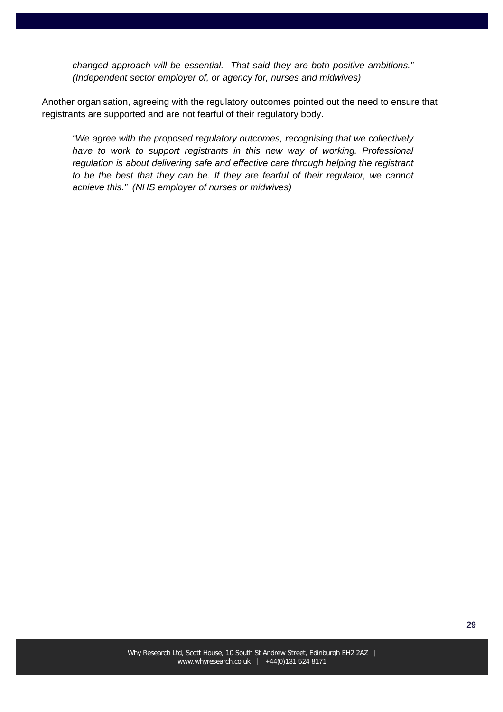*changed approach will be essential. That said they are both positive ambitions." (Independent sector employer of, or agency for, nurses and midwives)*

Another organisation, agreeing with the regulatory outcomes pointed out the need to ensure that registrants are supported and are not fearful of their regulatory body.

*"We agree with the proposed regulatory outcomes, recognising that we collectively*  have to work to support registrants in this new way of working. Professional *regulation is about delivering safe and effective care through helping the registrant*  to be the best that they can be. If they are fearful of their regulator, we cannot *achieve this." (NHS employer of nurses or midwives)*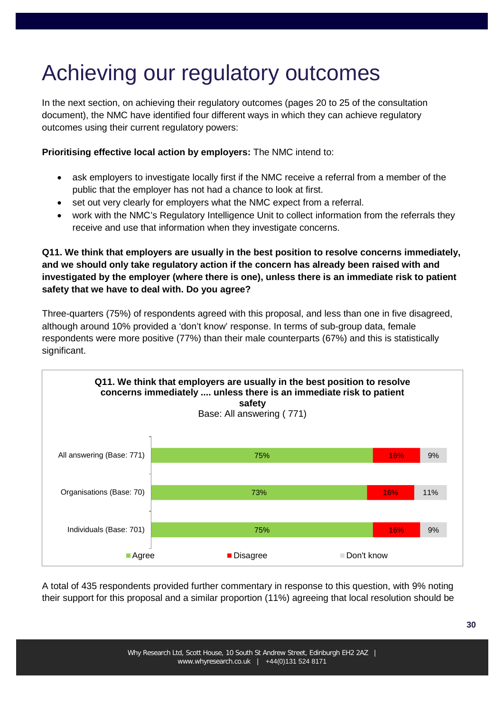## Achieving our regulatory outcomes

In the next section, on achieving their regulatory outcomes (pages 20 to 25 of the consultation document), the NMC have identified four different ways in which they can achieve regulatory outcomes using their current regulatory powers:

**Prioritising effective local action by employers:** The NMC intend to:

- ask employers to investigate locally first if the NMC receive a referral from a member of the public that the employer has not had a chance to look at first.
- set out very clearly for employers what the NMC expect from a referral.
- work with the NMC's Regulatory Intelligence Unit to collect information from the referrals they receive and use that information when they investigate concerns.

**Q11. We think that employers are usually in the best position to resolve concerns immediately, and we should only take regulatory action if the concern has already been raised with and investigated by the employer (where there is one), unless there is an immediate risk to patient safety that we have to deal with. Do you agree?**

Three-quarters (75%) of respondents agreed with this proposal, and less than one in five disagreed, although around 10% provided a 'don't know' response. In terms of sub-group data, female respondents were more positive (77%) than their male counterparts (67%) and this is statistically significant.



A total of 435 respondents provided further commentary in response to this question, with 9% noting their support for this proposal and a similar proportion (11%) agreeing that local resolution should be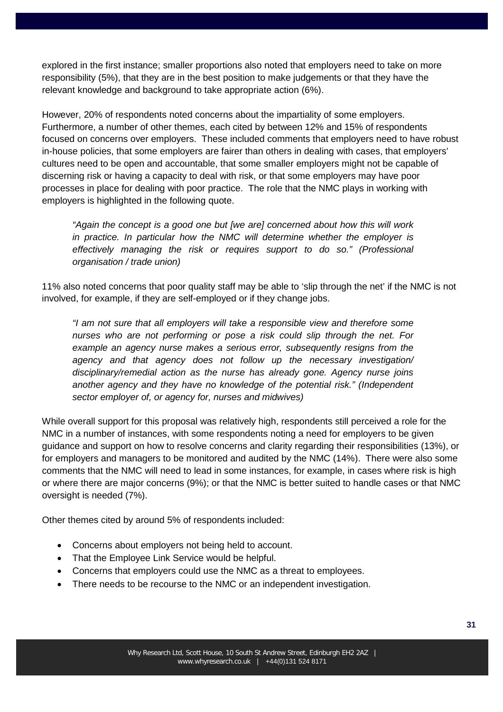explored in the first instance; smaller proportions also noted that employers need to take on more responsibility (5%), that they are in the best position to make judgements or that they have the relevant knowledge and background to take appropriate action (6%).

However, 20% of respondents noted concerns about the impartiality of some employers. Furthermore, a number of other themes, each cited by between 12% and 15% of respondents focused on concerns over employers. These included comments that employers need to have robust in-house policies, that some employers are fairer than others in dealing with cases, that employers' cultures need to be open and accountable, that some smaller employers might not be capable of discerning risk or having a capacity to deal with risk, or that some employers may have poor processes in place for dealing with poor practice. The role that the NMC plays in working with employers is highlighted in the following quote.

*"Again the concept is a good one but [we are] concerned about how this will work in practice. In particular how the NMC will determine whether the employer is effectively managing the risk or requires support to do so." (Professional organisation / trade union)*

11% also noted concerns that poor quality staff may be able to 'slip through the net' if the NMC is not involved, for example, if they are self-employed or if they change jobs.

*"I am not sure that all employers will take a responsible view and therefore some nurses who are not performing or pose a risk could slip through the net. For example an agency nurse makes a serious error, subsequently resigns from the agency and that agency does not follow up the necessary investigation/ disciplinary/remedial action as the nurse has already gone. Agency nurse joins another agency and they have no knowledge of the potential risk." (Independent sector employer of, or agency for, nurses and midwives)*

While overall support for this proposal was relatively high, respondents still perceived a role for the NMC in a number of instances, with some respondents noting a need for employers to be given guidance and support on how to resolve concerns and clarity regarding their responsibilities (13%), or for employers and managers to be monitored and audited by the NMC (14%). There were also some comments that the NMC will need to lead in some instances, for example, in cases where risk is high or where there are major concerns (9%); or that the NMC is better suited to handle cases or that NMC oversight is needed (7%).

Other themes cited by around 5% of respondents included:

- Concerns about employers not being held to account.
- That the Employee Link Service would be helpful.
- Concerns that employers could use the NMC as a threat to employees.
- There needs to be recourse to the NMC or an independent investigation.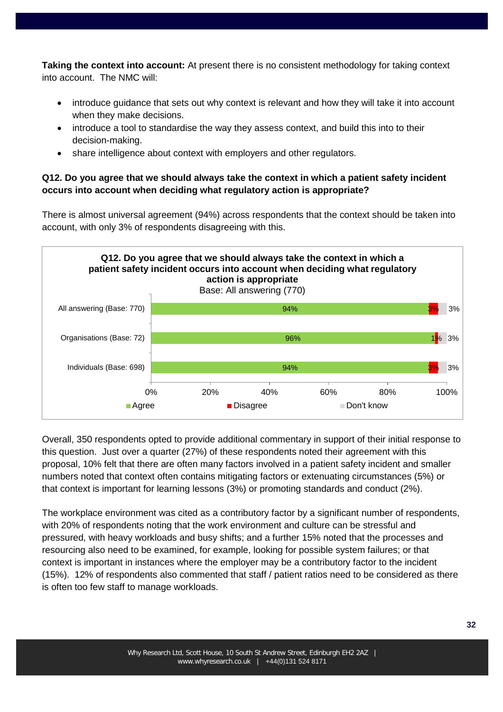**Taking the context into account:** At present there is no consistent methodology for taking context into account. The NMC will:

- introduce guidance that sets out why context is relevant and how they will take it into account when they make decisions.
- introduce a tool to standardise the way they assess context, and build this into to their decision-making.
- share intelligence about context with employers and other regulators.

## **Q12. Do you agree that we should always take the context in which a patient safety incident occurs into account when deciding what regulatory action is appropriate?**

There is almost universal agreement (94%) across respondents that the context should be taken into account, with only 3% of respondents disagreeing with this.



Overall, 350 respondents opted to provide additional commentary in support of their initial response to this question. Just over a quarter (27%) of these respondents noted their agreement with this proposal, 10% felt that there are often many factors involved in a patient safety incident and smaller numbers noted that context often contains mitigating factors or extenuating circumstances (5%) or that context is important for learning lessons (3%) or promoting standards and conduct (2%).

The workplace environment was cited as a contributory factor by a significant number of respondents, with 20% of respondents noting that the work environment and culture can be stressful and pressured, with heavy workloads and busy shifts; and a further 15% noted that the processes and resourcing also need to be examined, for example, looking for possible system failures; or that context is important in instances where the employer may be a contributory factor to the incident (15%). 12% of respondents also commented that staff / patient ratios need to be considered as there is often too few staff to manage workloads.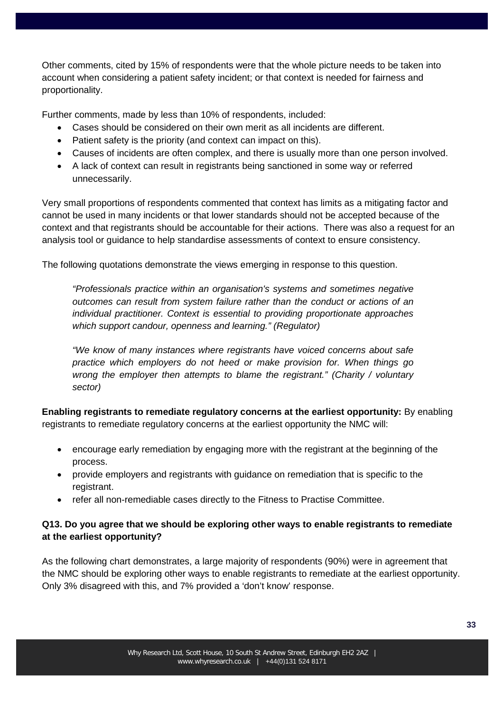Other comments, cited by 15% of respondents were that the whole picture needs to be taken into account when considering a patient safety incident; or that context is needed for fairness and proportionality.

Further comments, made by less than 10% of respondents, included:

- Cases should be considered on their own merit as all incidents are different.
- Patient safety is the priority (and context can impact on this).
- Causes of incidents are often complex, and there is usually more than one person involved.
- A lack of context can result in registrants being sanctioned in some way or referred unnecessarily.

Very small proportions of respondents commented that context has limits as a mitigating factor and cannot be used in many incidents or that lower standards should not be accepted because of the context and that registrants should be accountable for their actions. There was also a request for an analysis tool or guidance to help standardise assessments of context to ensure consistency.

The following quotations demonstrate the views emerging in response to this question.

*"Professionals practice within an organisation's systems and sometimes negative outcomes can result from system failure rather than the conduct or actions of an individual practitioner. Context is essential to providing proportionate approaches which support candour, openness and learning." (Regulator)* 

*"We know of many instances where registrants have voiced concerns about safe practice which employers do not heed or make provision for. When things go wrong the employer then attempts to blame the registrant." (Charity / voluntary sector)*

**Enabling registrants to remediate regulatory concerns at the earliest opportunity:** By enabling registrants to remediate regulatory concerns at the earliest opportunity the NMC will:

- encourage early remediation by engaging more with the registrant at the beginning of the process.
- provide employers and registrants with guidance on remediation that is specific to the registrant.
- refer all non-remediable cases directly to the Fitness to Practise Committee.

### **Q13. Do you agree that we should be exploring other ways to enable registrants to remediate at the earliest opportunity?**

As the following chart demonstrates, a large majority of respondents (90%) were in agreement that the NMC should be exploring other ways to enable registrants to remediate at the earliest opportunity. Only 3% disagreed with this, and 7% provided a 'don't know' response.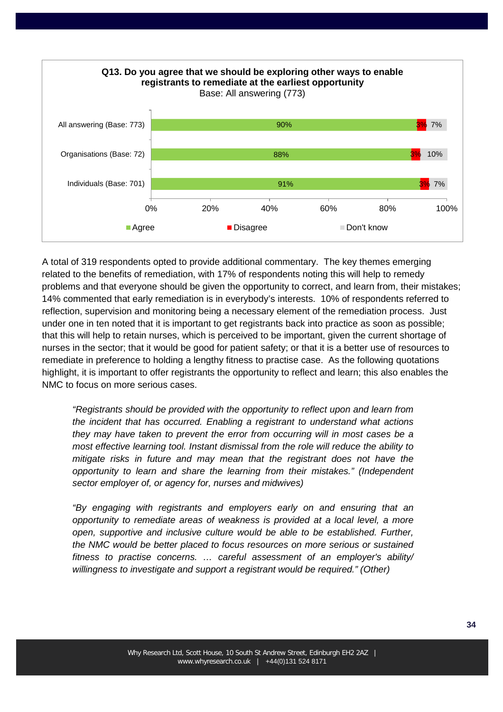

A total of 319 respondents opted to provide additional commentary. The key themes emerging related to the benefits of remediation, with 17% of respondents noting this will help to remedy problems and that everyone should be given the opportunity to correct, and learn from, their mistakes; 14% commented that early remediation is in everybody's interests. 10% of respondents referred to reflection, supervision and monitoring being a necessary element of the remediation process. Just under one in ten noted that it is important to get registrants back into practice as soon as possible; that this will help to retain nurses, which is perceived to be important, given the current shortage of nurses in the sector; that it would be good for patient safety; or that it is a better use of resources to remediate in preference to holding a lengthy fitness to practise case. As the following quotations highlight, it is important to offer registrants the opportunity to reflect and learn; this also enables the NMC to focus on more serious cases.

*"Registrants should be provided with the opportunity to reflect upon and learn from the incident that has occurred. Enabling a registrant to understand what actions they may have taken to prevent the error from occurring will in most cases be a most effective learning tool. Instant dismissal from the role will reduce the ability to mitigate risks in future and may mean that the registrant does not have the opportunity to learn and share the learning from their mistakes." (Independent sector employer of, or agency for, nurses and midwives)*

*"By engaging with registrants and employers early on and ensuring that an opportunity to remediate areas of weakness is provided at a local level, a more open, supportive and inclusive culture would be able to be established. Further, the NMC would be better placed to focus resources on more serious or sustained fitness to practise concerns. … careful assessment of an employer's ability/ willingness to investigate and support a registrant would be required." (Other)*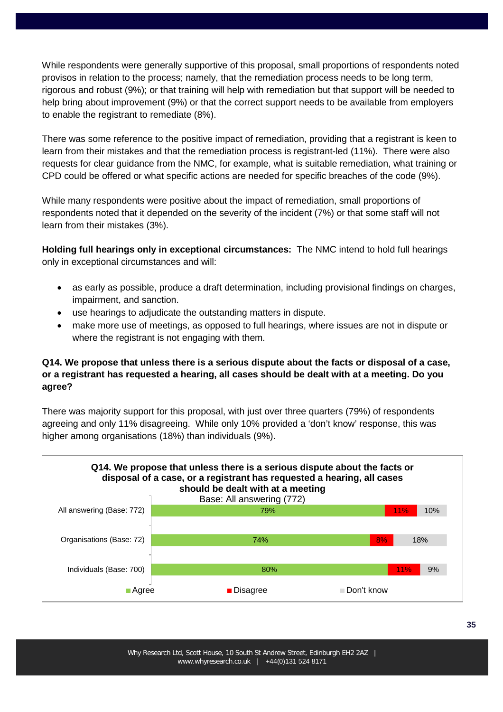While respondents were generally supportive of this proposal, small proportions of respondents noted provisos in relation to the process; namely, that the remediation process needs to be long term, rigorous and robust (9%); or that training will help with remediation but that support will be needed to help bring about improvement (9%) or that the correct support needs to be available from employers to enable the registrant to remediate (8%).

There was some reference to the positive impact of remediation, providing that a registrant is keen to learn from their mistakes and that the remediation process is registrant-led (11%). There were also requests for clear guidance from the NMC, for example, what is suitable remediation, what training or CPD could be offered or what specific actions are needed for specific breaches of the code (9%).

While many respondents were positive about the impact of remediation, small proportions of respondents noted that it depended on the severity of the incident (7%) or that some staff will not learn from their mistakes (3%).

**Holding full hearings only in exceptional circumstances:** The NMC intend to hold full hearings only in exceptional circumstances and will:

- as early as possible, produce a draft determination, including provisional findings on charges, impairment, and sanction.
- use hearings to adjudicate the outstanding matters in dispute.
- make more use of meetings, as opposed to full hearings, where issues are not in dispute or where the registrant is not engaging with them.

## **Q14. We propose that unless there is a serious dispute about the facts or disposal of a case, or a registrant has requested a hearing, all cases should be dealt with at a meeting. Do you agree?**

There was majority support for this proposal, with just over three quarters (79%) of respondents agreeing and only 11% disagreeing. While only 10% provided a 'don't know' response, this was higher among organisations (18%) than individuals (9%).

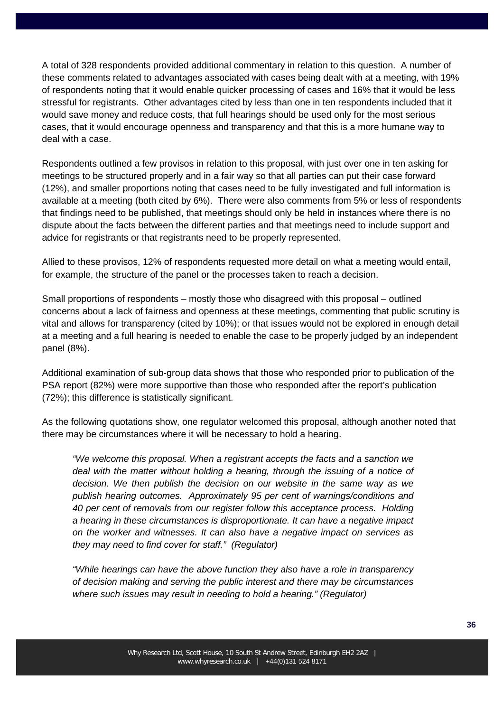A total of 328 respondents provided additional commentary in relation to this question. A number of these comments related to advantages associated with cases being dealt with at a meeting, with 19% of respondents noting that it would enable quicker processing of cases and 16% that it would be less stressful for registrants. Other advantages cited by less than one in ten respondents included that it would save money and reduce costs, that full hearings should be used only for the most serious cases, that it would encourage openness and transparency and that this is a more humane way to deal with a case.

Respondents outlined a few provisos in relation to this proposal, with just over one in ten asking for meetings to be structured properly and in a fair way so that all parties can put their case forward (12%), and smaller proportions noting that cases need to be fully investigated and full information is available at a meeting (both cited by 6%). There were also comments from 5% or less of respondents that findings need to be published, that meetings should only be held in instances where there is no dispute about the facts between the different parties and that meetings need to include support and advice for registrants or that registrants need to be properly represented.

Allied to these provisos, 12% of respondents requested more detail on what a meeting would entail, for example, the structure of the panel or the processes taken to reach a decision.

Small proportions of respondents – mostly those who disagreed with this proposal – outlined concerns about a lack of fairness and openness at these meetings, commenting that public scrutiny is vital and allows for transparency (cited by 10%); or that issues would not be explored in enough detail at a meeting and a full hearing is needed to enable the case to be properly judged by an independent panel (8%).

Additional examination of sub-group data shows that those who responded prior to publication of the PSA report (82%) were more supportive than those who responded after the report's publication (72%); this difference is statistically significant.

As the following quotations show, one regulator welcomed this proposal, although another noted that there may be circumstances where it will be necessary to hold a hearing.

*"We welcome this proposal. When a registrant accepts the facts and a sanction we deal with the matter without holding a hearing, through the issuing of a notice of decision. We then publish the decision on our website in the same way as we publish hearing outcomes. Approximately 95 per cent of warnings/conditions and 40 per cent of removals from our register follow this acceptance process. Holding a hearing in these circumstances is disproportionate. It can have a negative impact on the worker and witnesses. It can also have a negative impact on services as they may need to find cover for staff." (Regulator)*

*"While hearings can have the above function they also have a role in transparency of decision making and serving the public interest and there may be circumstances where such issues may result in needing to hold a hearing." (Regulator)*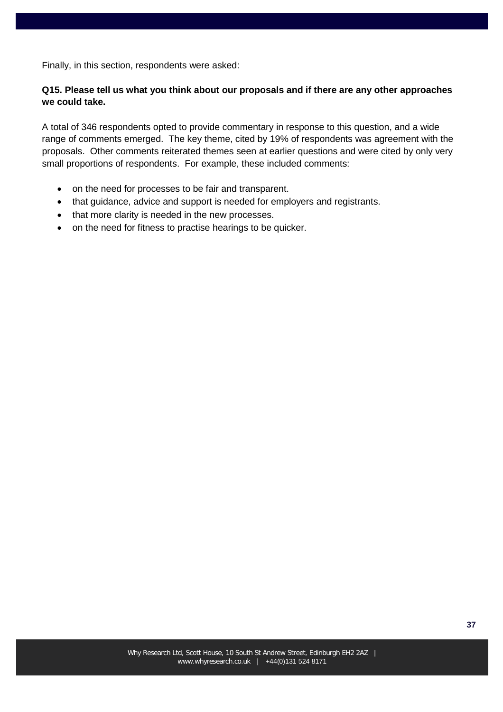Finally, in this section, respondents were asked:

### **Q15. Please tell us what you think about our proposals and if there are any other approaches we could take.**

A total of 346 respondents opted to provide commentary in response to this question, and a wide range of comments emerged. The key theme, cited by 19% of respondents was agreement with the proposals. Other comments reiterated themes seen at earlier questions and were cited by only very small proportions of respondents. For example, these included comments:

- on the need for processes to be fair and transparent.
- that guidance, advice and support is needed for employers and registrants.
- that more clarity is needed in the new processes.
- on the need for fitness to practise hearings to be quicker.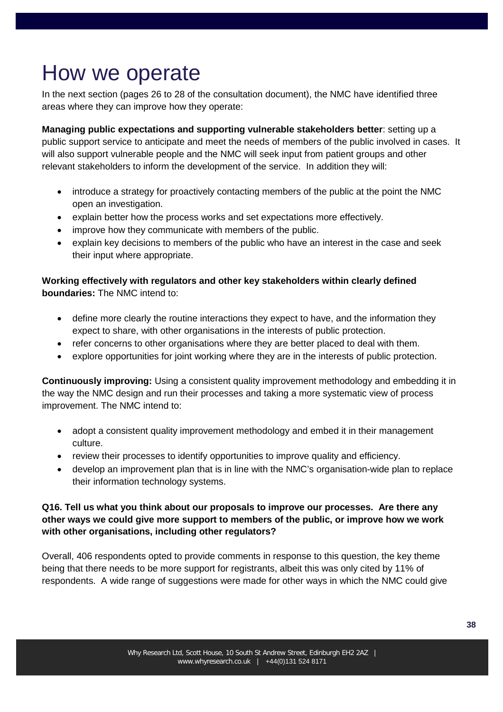## How we operate

In the next section (pages 26 to 28 of the consultation document), the NMC have identified three areas where they can improve how they operate:

**Managing public expectations and supporting vulnerable stakeholders better**: setting up a public support service to anticipate and meet the needs of members of the public involved in cases. It will also support vulnerable people and the NMC will seek input from patient groups and other relevant stakeholders to inform the development of the service. In addition they will:

- introduce a strategy for proactively contacting members of the public at the point the NMC open an investigation.
- explain better how the process works and set expectations more effectively.
- improve how they communicate with members of the public.
- explain key decisions to members of the public who have an interest in the case and seek their input where appropriate.

## **Working effectively with regulators and other key stakeholders within clearly defined boundaries:** The NMC intend to:

- define more clearly the routine interactions they expect to have, and the information they expect to share, with other organisations in the interests of public protection.
- refer concerns to other organisations where they are better placed to deal with them.
- explore opportunities for joint working where they are in the interests of public protection.

**Continuously improving:** Using a consistent quality improvement methodology and embedding it in the way the NMC design and run their processes and taking a more systematic view of process improvement. The NMC intend to:

- adopt a consistent quality improvement methodology and embed it in their management culture.
- review their processes to identify opportunities to improve quality and efficiency.
- develop an improvement plan that is in line with the NMC's organisation-wide plan to replace their information technology systems.

## **Q16. Tell us what you think about our proposals to improve our processes. Are there any other ways we could give more support to members of the public, or improve how we work with other organisations, including other regulators?**

Overall, 406 respondents opted to provide comments in response to this question, the key theme being that there needs to be more support for registrants, albeit this was only cited by 11% of respondents. A wide range of suggestions were made for other ways in which the NMC could give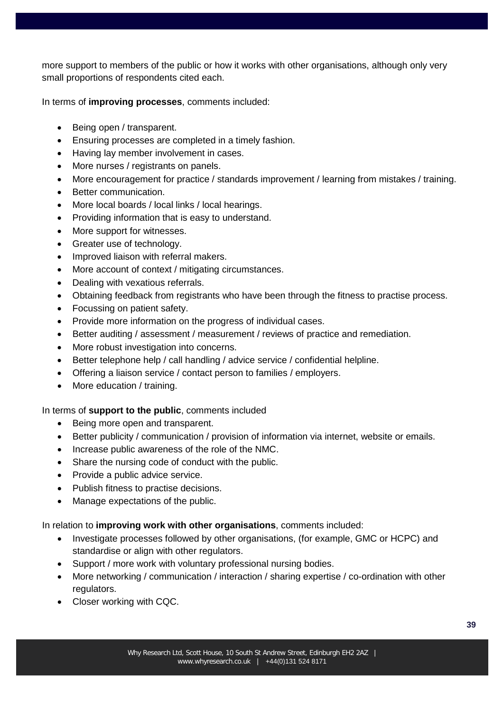more support to members of the public or how it works with other organisations, although only very small proportions of respondents cited each.

In terms of **improving processes**, comments included:

- Being open / transparent.
- Ensuring processes are completed in a timely fashion.
- Having lay member involvement in cases.
- More nurses / registrants on panels.
- More encouragement for practice / standards improvement / learning from mistakes / training.
- Better communication.
- More local boards / local links / local hearings.
- Providing information that is easy to understand.
- More support for witnesses.
- Greater use of technology.
- Improved liaison with referral makers.
- More account of context / mitigating circumstances.
- Dealing with vexatious referrals.
- Obtaining feedback from registrants who have been through the fitness to practise process.
- Focussing on patient safety.
- Provide more information on the progress of individual cases.
- Better auditing / assessment / measurement / reviews of practice and remediation.
- More robust investigation into concerns.
- Better telephone help / call handling / advice service / confidential helpline.
- Offering a liaison service / contact person to families / employers.
- More education / training.

## In terms of **support to the public**, comments included

- Being more open and transparent.
- Better publicity / communication / provision of information via internet, website or emails.
- Increase public awareness of the role of the NMC.
- Share the nursing code of conduct with the public.
- Provide a public advice service.
- Publish fitness to practise decisions.
- Manage expectations of the public.

In relation to **improving work with other organisations**, comments included:

- Investigate processes followed by other organisations, (for example, GMC or HCPC) and standardise or align with other regulators.
- Support / more work with voluntary professional nursing bodies.
- More networking / communication / interaction / sharing expertise / co-ordination with other regulators.
- Closer working with CQC.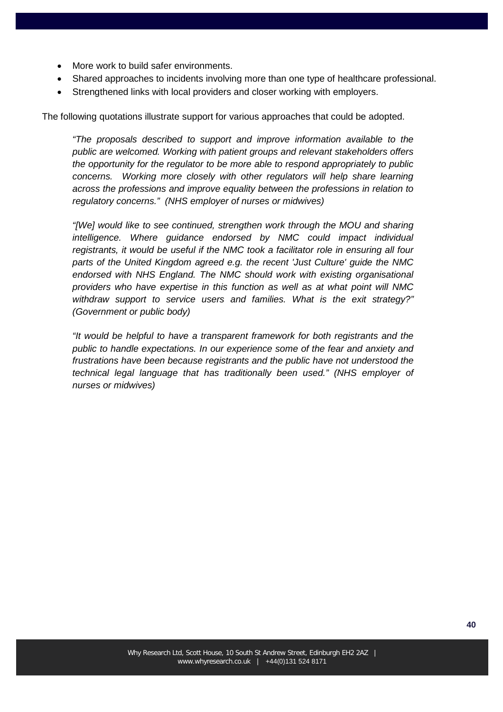- More work to build safer environments.
- Shared approaches to incidents involving more than one type of healthcare professional.
- Strengthened links with local providers and closer working with employers.

The following quotations illustrate support for various approaches that could be adopted.

*"The proposals described to support and improve information available to the public are welcomed. Working with patient groups and relevant stakeholders offers the opportunity for the regulator to be more able to respond appropriately to public concerns. Working more closely with other regulators will help share learning across the professions and improve equality between the professions in relation to regulatory concerns." (NHS employer of nurses or midwives)*

*"[We] would like to see continued, strengthen work through the MOU and sharing intelligence. Where guidance endorsed by NMC could impact individual registrants, it would be useful if the NMC took a facilitator role in ensuring all four parts of the United Kingdom agreed e.g. the recent 'Just Culture' guide the NMC endorsed with NHS England. The NMC should work with existing organisational providers who have expertise in this function as well as at what point will NMC withdraw support to service users and families. What is the exit strategy?" (Government or public body)*

*"It would be helpful to have a transparent framework for both registrants and the public to handle expectations. In our experience some of the fear and anxiety and frustrations have been because registrants and the public have not understood the technical legal language that has traditionally been used." (NHS employer of nurses or midwives)*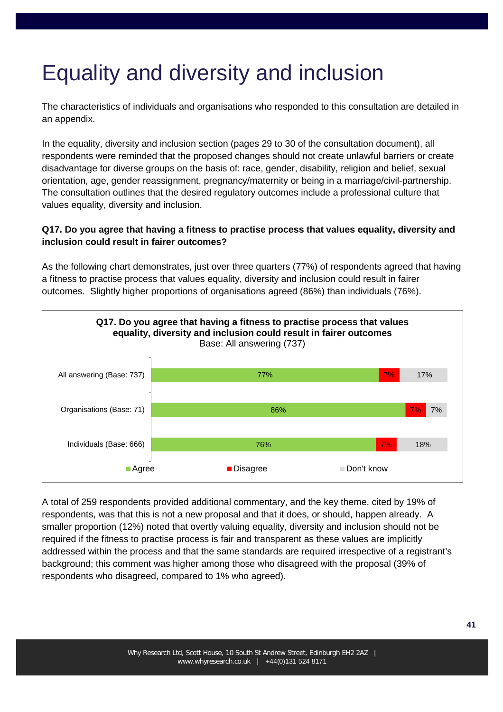## Equality and diversity and inclusion

The characteristics of individuals and organisations who responded to this consultation are detailed in an appendix.

In the equality, diversity and inclusion section (pages 29 to 30 of the consultation document), all respondents were reminded that the proposed changes should not create unlawful barriers or create disadvantage for diverse groups on the basis of: race, gender, disability, religion and belief, sexual orientation, age, gender reassignment, pregnancy/maternity or being in a marriage/civil-partnership. The consultation outlines that the desired regulatory outcomes include a professional culture that values equality, diversity and inclusion.

## **Q17. Do you agree that having a fitness to practise process that values equality, diversity and inclusion could result in fairer outcomes?**

As the following chart demonstrates, just over three quarters (77%) of respondents agreed that having a fitness to practise process that values equality, diversity and inclusion could result in fairer outcomes. Slightly higher proportions of organisations agreed (86%) than individuals (76%).



A total of 259 respondents provided additional commentary, and the key theme, cited by 19% of respondents, was that this is not a new proposal and that it does, or should, happen already. A smaller proportion (12%) noted that overtly valuing equality, diversity and inclusion should not be required if the fitness to practise process is fair and transparent as these values are implicitly addressed within the process and that the same standards are required irrespective of a registrant's background; this comment was higher among those who disagreed with the proposal (39% of respondents who disagreed, compared to 1% who agreed).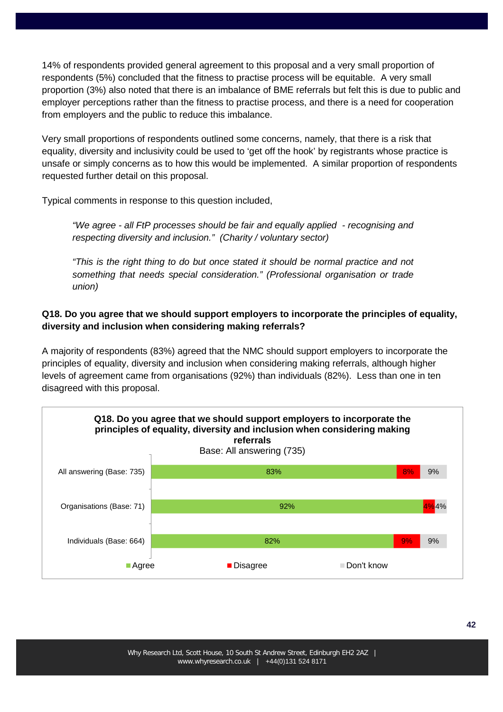14% of respondents provided general agreement to this proposal and a very small proportion of respondents (5%) concluded that the fitness to practise process will be equitable. A very small proportion (3%) also noted that there is an imbalance of BME referrals but felt this is due to public and employer perceptions rather than the fitness to practise process, and there is a need for cooperation from employers and the public to reduce this imbalance.

Very small proportions of respondents outlined some concerns, namely, that there is a risk that equality, diversity and inclusivity could be used to 'get off the hook' by registrants whose practice is unsafe or simply concerns as to how this would be implemented. A similar proportion of respondents requested further detail on this proposal.

Typical comments in response to this question included,

*"We agree - all FtP processes should be fair and equally applied - recognising and respecting diversity and inclusion." (Charity / voluntary sector)*

*"This is the right thing to do but once stated it should be normal practice and not something that needs special consideration." (Professional organisation or trade union)*

## **Q18. Do you agree that we should support employers to incorporate the principles of equality, diversity and inclusion when considering making referrals?**

A majority of respondents (83%) agreed that the NMC should support employers to incorporate the principles of equality, diversity and inclusion when considering making referrals, although higher levels of agreement came from organisations (92%) than individuals (82%). Less than one in ten disagreed with this proposal.

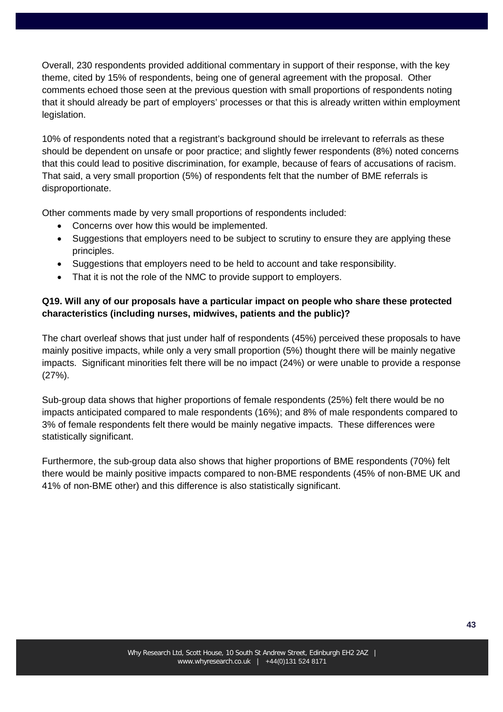Overall, 230 respondents provided additional commentary in support of their response, with the key theme, cited by 15% of respondents, being one of general agreement with the proposal. Other comments echoed those seen at the previous question with small proportions of respondents noting that it should already be part of employers' processes or that this is already written within employment legislation.

10% of respondents noted that a registrant's background should be irrelevant to referrals as these should be dependent on unsafe or poor practice; and slightly fewer respondents (8%) noted concerns that this could lead to positive discrimination, for example, because of fears of accusations of racism. That said, a very small proportion (5%) of respondents felt that the number of BME referrals is disproportionate.

Other comments made by very small proportions of respondents included:

- Concerns over how this would be implemented.
- Suggestions that employers need to be subject to scrutiny to ensure they are applying these principles.
- Suggestions that employers need to be held to account and take responsibility.
- That it is not the role of the NMC to provide support to employers.

## **Q19. Will any of our proposals have a particular impact on people who share these protected characteristics (including nurses, midwives, patients and the public)?**

The chart overleaf shows that just under half of respondents (45%) perceived these proposals to have mainly positive impacts, while only a very small proportion (5%) thought there will be mainly negative impacts. Significant minorities felt there will be no impact (24%) or were unable to provide a response (27%).

Sub-group data shows that higher proportions of female respondents (25%) felt there would be no impacts anticipated compared to male respondents (16%); and 8% of male respondents compared to 3% of female respondents felt there would be mainly negative impacts. These differences were statistically significant.

Furthermore, the sub-group data also shows that higher proportions of BME respondents (70%) felt there would be mainly positive impacts compared to non-BME respondents (45% of non-BME UK and 41% of non-BME other) and this difference is also statistically significant.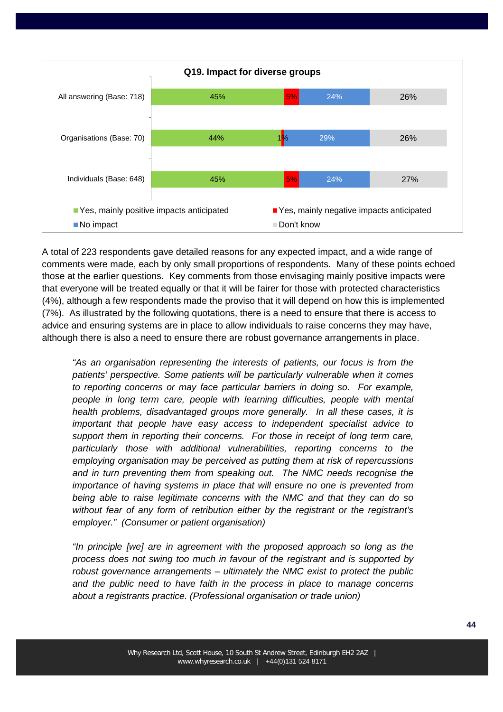

A total of 223 respondents gave detailed reasons for any expected impact, and a wide range of comments were made, each by only small proportions of respondents. Many of these points echoed those at the earlier questions. Key comments from those envisaging mainly positive impacts were that everyone will be treated equally or that it will be fairer for those with protected characteristics (4%), although a few respondents made the proviso that it will depend on how this is implemented (7%). As illustrated by the following quotations, there is a need to ensure that there is access to advice and ensuring systems are in place to allow individuals to raise concerns they may have, although there is also a need to ensure there are robust governance arrangements in place.

*"As an organisation representing the interests of patients, our focus is from the patients' perspective. Some patients will be particularly vulnerable when it comes to reporting concerns or may face particular barriers in doing so. For example, people in long term care, people with learning difficulties, people with mental health problems, disadvantaged groups more generally. In all these cases, it is important that people have easy access to independent specialist advice to support them in reporting their concerns. For those in receipt of long term care, particularly those with additional vulnerabilities, reporting concerns to the employing organisation may be perceived as putting them at risk of repercussions and in turn preventing them from speaking out. The NMC needs recognise the importance of having systems in place that will ensure no one is prevented from being able to raise legitimate concerns with the NMC and that they can do so without fear of any form of retribution either by the registrant or the registrant's employer." (Consumer or patient organisation)*

*"In principle [we] are in agreement with the proposed approach so long as the process does not swing too much in favour of the registrant and is supported by robust governance arrangements – ultimately the NMC exist to protect the public and the public need to have faith in the process in place to manage concerns about a registrants practice. (Professional organisation or trade union)*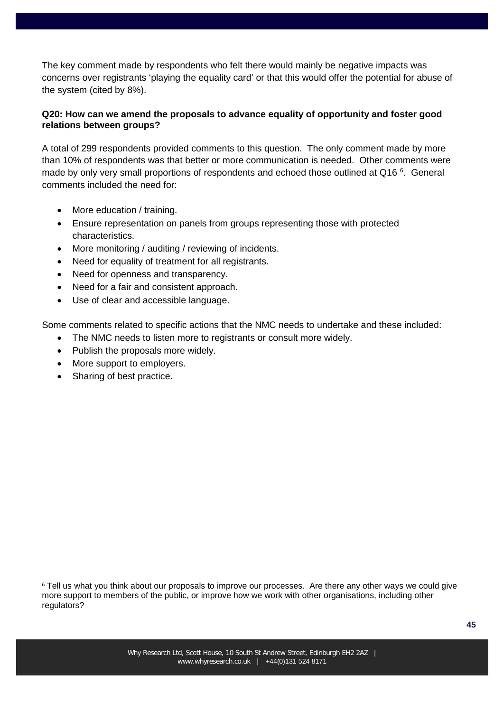The key comment made by respondents who felt there would mainly be negative impacts was concerns over registrants 'playing the equality card' or that this would offer the potential for abuse of the system (cited by 8%).

### **Q20: How can we amend the proposals to advance equality of opportunity and foster good relations between groups?**

A total of 299 respondents provided comments to this question. The only comment made by more than 10% of respondents was that better or more communication is needed. Other comments were made by only very small proportions of respondents and echoed those outlined at Q1[6](#page-44-0)<sup>6</sup>. General comments included the need for:

- More education / training.
- Ensure representation on panels from groups representing those with protected characteristics.
- More monitoring / auditing / reviewing of incidents.
- Need for equality of treatment for all registrants.
- Need for openness and transparency.
- Need for a fair and consistent approach.
- Use of clear and accessible language.

Some comments related to specific actions that the NMC needs to undertake and these included:

- The NMC needs to listen more to registrants or consult more widely.
- Publish the proposals more widely.
- More support to employers.
- Sharing of best practice.

<span id="page-44-0"></span><sup>&</sup>lt;sup>6</sup> Tell us what you think about our proposals to improve our processes. Are there any other ways we could give more support to members of the public, or improve how we work with other organisations, including other regulators?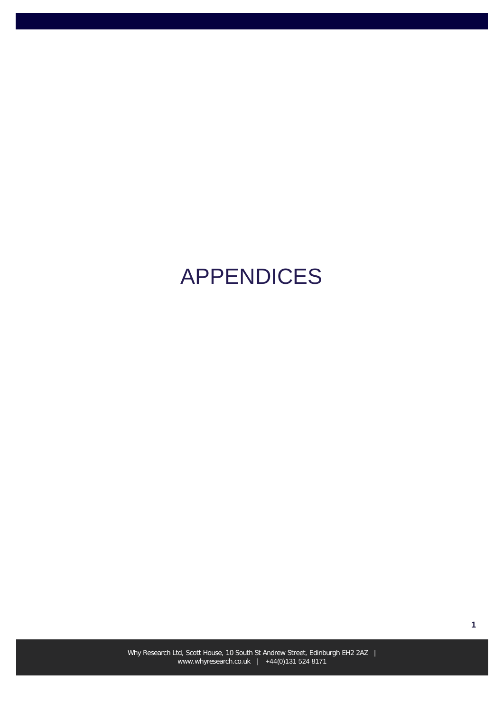# APPENDICES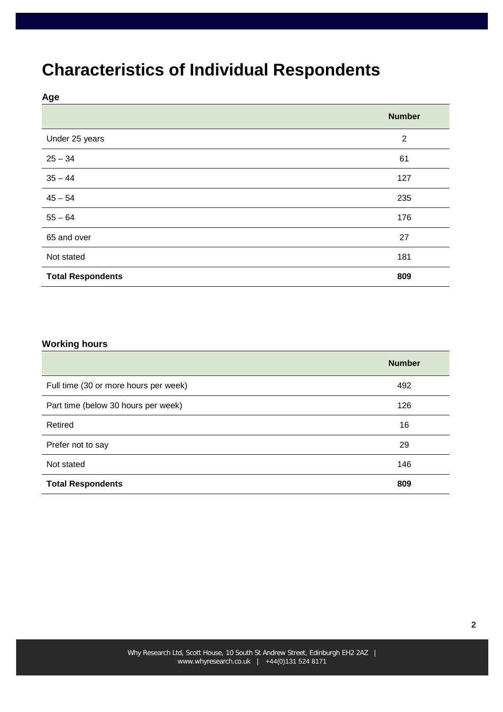## **Characteristics of Individual Respondents**

**Age**

|                          | <b>Number</b>  |
|--------------------------|----------------|
| Under 25 years           | $\overline{2}$ |
| $25 - 34$                | 61             |
| $35 - 44$                | 127            |
| $45 - 54$                | 235            |
| $55 - 64$                | 176            |
| 65 and over              | 27             |
| Not stated               | 181            |
| <b>Total Respondents</b> | 809            |

#### **Working hours**

|                                       | <b>Number</b> |
|---------------------------------------|---------------|
| Full time (30 or more hours per week) | 492           |
| Part time (below 30 hours per week)   | 126           |
| Retired                               | 16            |
| Prefer not to say                     | 29            |
| Not stated                            | 146           |
| <b>Total Respondents</b>              | 809           |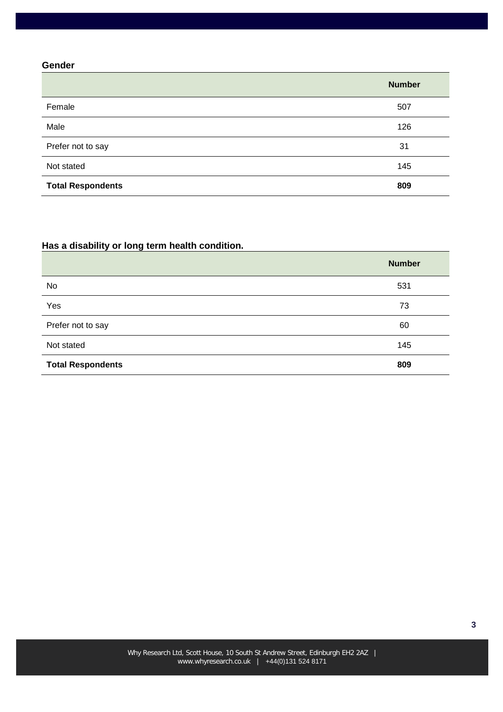#### **Gender**

|                          | <b>Number</b> |
|--------------------------|---------------|
| Female                   | 507           |
| Male                     | 126           |
| Prefer not to say        | 31            |
| Not stated               | 145           |
| <b>Total Respondents</b> | 809           |

## **Has a disability or long term health condition.**

|                          | <b>Number</b> |
|--------------------------|---------------|
| No                       | 531           |
| Yes                      | 73            |
| Prefer not to say        | 60            |
| Not stated               | 145           |
| <b>Total Respondents</b> | 809           |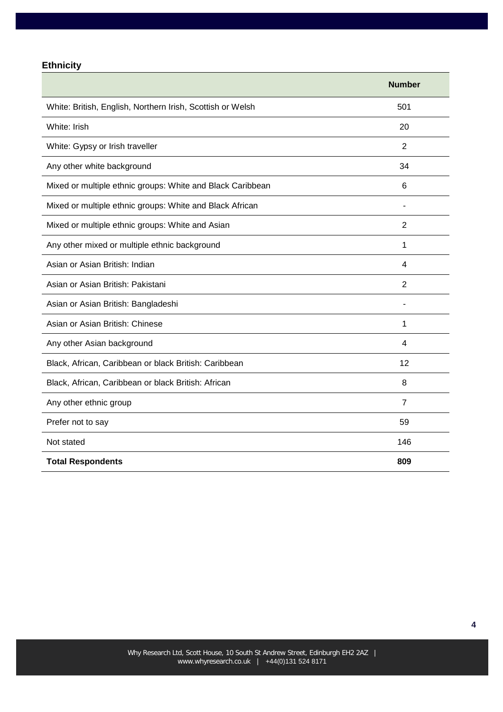## **Ethnicity**

|                                                            | <b>Number</b>            |
|------------------------------------------------------------|--------------------------|
| White: British, English, Northern Irish, Scottish or Welsh | 501                      |
| White: Irish                                               | 20                       |
| White: Gypsy or Irish traveller                            | $\overline{2}$           |
| Any other white background                                 | 34                       |
| Mixed or multiple ethnic groups: White and Black Caribbean | 6                        |
| Mixed or multiple ethnic groups: White and Black African   | $\overline{\phantom{a}}$ |
| Mixed or multiple ethnic groups: White and Asian           | $\overline{2}$           |
| Any other mixed or multiple ethnic background              | $\mathbf{1}$             |
| Asian or Asian British: Indian                             | 4                        |
| Asian or Asian British: Pakistani                          | $\overline{2}$           |
| Asian or Asian British: Bangladeshi                        |                          |
| Asian or Asian British: Chinese                            | 1                        |
| Any other Asian background                                 | 4                        |
| Black, African, Caribbean or black British: Caribbean      | 12                       |
| Black, African, Caribbean or black British: African        | 8                        |
| Any other ethnic group                                     | $\overline{7}$           |
| Prefer not to say                                          | 59                       |
| Not stated                                                 | 146                      |
| <b>Total Respondents</b>                                   | 809                      |

**4**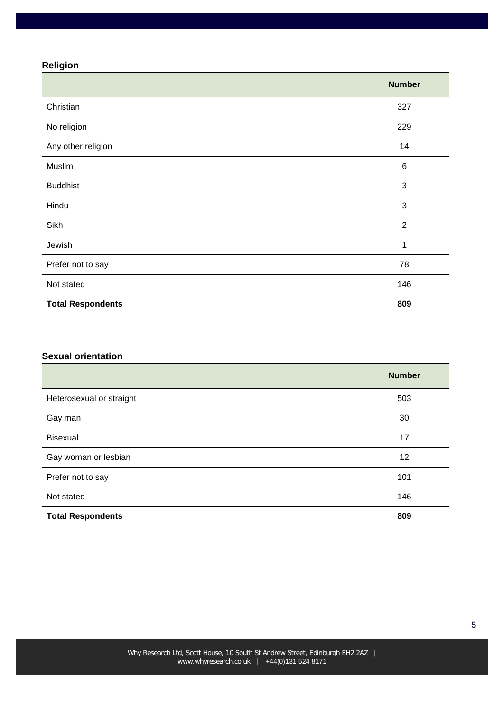## **Religion**

|                          | <b>Number</b>  |
|--------------------------|----------------|
| Christian                | 327            |
| No religion              | 229            |
| Any other religion       | 14             |
| Muslim                   | $\,6$          |
| <b>Buddhist</b>          | 3              |
| Hindu                    | 3              |
| Sikh                     | $\overline{2}$ |
| Jewish                   | 1              |
| Prefer not to say        | 78             |
| Not stated               | 146            |
| <b>Total Respondents</b> | 809            |

#### **Sexual orientation**

|                          | <b>Number</b> |
|--------------------------|---------------|
| Heterosexual or straight | 503           |
| Gay man                  | 30            |
| Bisexual                 | 17            |
| Gay woman or lesbian     | 12            |
| Prefer not to say        | 101           |
| Not stated               | 146           |
| <b>Total Respondents</b> | 809           |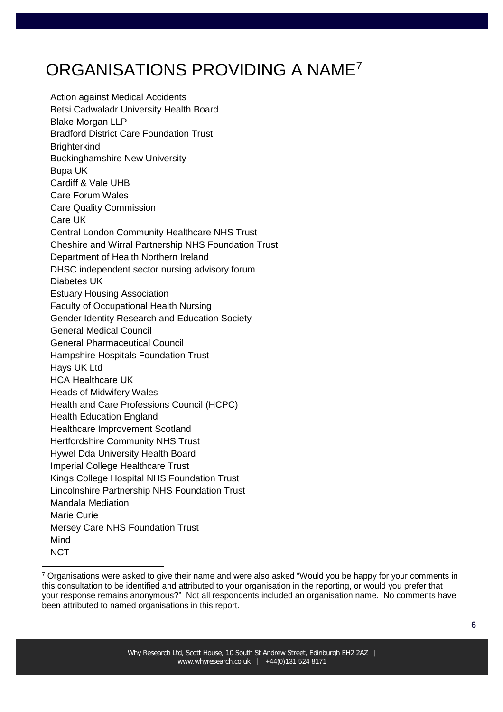## ORGANISATIONS PROVIDING A NAM[E7](#page-50-0)

Action against Medical Accidents Betsi Cadwaladr University Health Board Blake Morgan LLP Bradford District Care Foundation Trust **Brighterkind** Buckinghamshire New University Bupa UK Cardiff & Vale UHB Care Forum Wales Care Quality Commission Care UK Central London Community Healthcare NHS Trust Cheshire and Wirral Partnership NHS Foundation Trust Department of Health Northern Ireland DHSC independent sector nursing advisory forum Diabetes UK Estuary Housing Association Faculty of Occupational Health Nursing Gender Identity Research and Education Society General Medical Council General Pharmaceutical Council Hampshire Hospitals Foundation Trust Hays UK Ltd HCA Healthcare UK Heads of Midwifery Wales Health and Care Professions Council (HCPC) Health Education England Healthcare Improvement Scotland Hertfordshire Community NHS Trust Hywel Dda University Health Board Imperial College Healthcare Trust Kings College Hospital NHS Foundation Trust Lincolnshire Partnership NHS Foundation Trust Mandala Mediation Marie Curie Mersey Care NHS Foundation Trust Mind **NCT** 

<span id="page-50-0"></span><sup>&</sup>lt;sup>7</sup> Organisations were asked to give their name and were also asked "Would you be happy for your comments in this consultation to be identified and attributed to your organisation in the reporting, or would you prefer that your response remains anonymous?" Not all respondents included an organisation name. No comments have been attributed to named organisations in this report.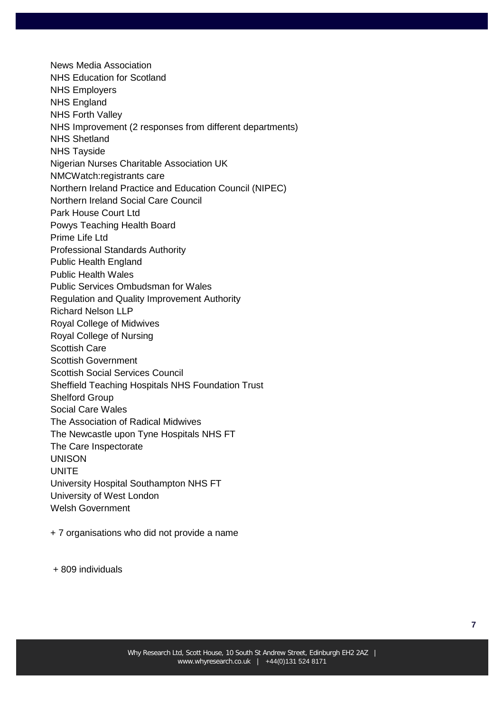News Media Association NHS Education for Scotland NHS Employers NHS England NHS Forth Valley NHS Improvement (2 responses from different departments) NHS Shetland NHS Tayside Nigerian Nurses Charitable Association UK NMCWatch:registrants care Northern Ireland Practice and Education Council (NIPEC) Northern Ireland Social Care Council Park House Court Ltd Powys Teaching Health Board Prime Life Ltd Professional Standards Authority Public Health England Public Health Wales Public Services Ombudsman for Wales Regulation and Quality Improvement Authority Richard Nelson LLP Royal College of Midwives Royal College of Nursing Scottish Care Scottish Government Scottish Social Services Council Sheffield Teaching Hospitals NHS Foundation Trust Shelford Group Social Care Wales The Association of Radical Midwives The Newcastle upon Tyne Hospitals NHS FT The Care Inspectorate UNISON UNITE University Hospital Southampton NHS FT University of West London Welsh Government

- + 7 organisations who did not provide a name
- + 809 individuals